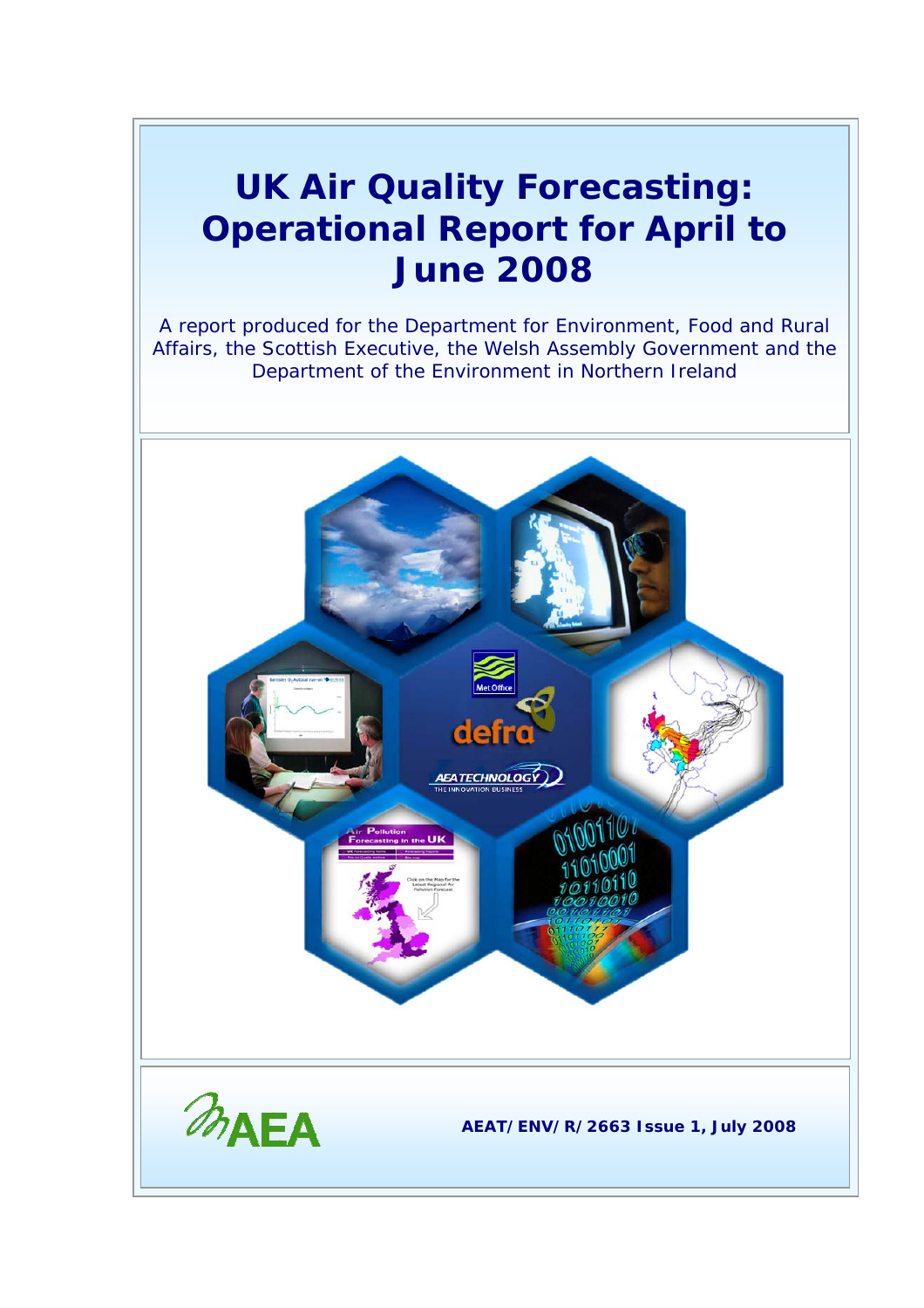## **UK Air Quality Forecasting: Operational Report for April to June 2008**

A report produced for the Department for Environment, Food and Rural Affairs, the Scottish Executive, the Welsh Assembly Government and the Department of the Environment in Northern Ireland

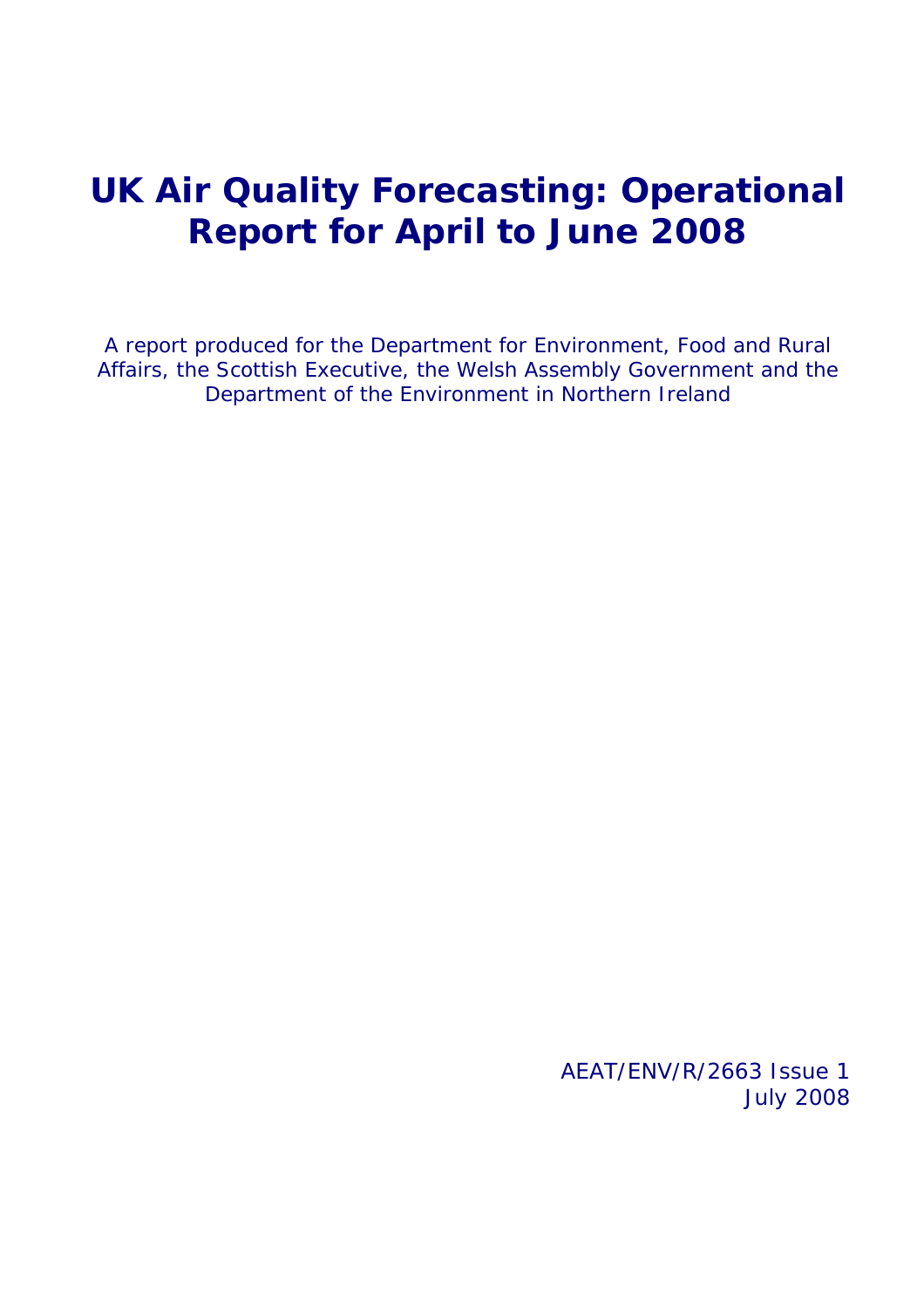## **UK Air Quality Forecasting: Operational Report for April to June 2008**

A report produced for the Department for Environment, Food and Rural Affairs, the Scottish Executive, the Welsh Assembly Government and the Department of the Environment in Northern Ireland

> AEAT/ENV/R/2663 Issue 1 July 2008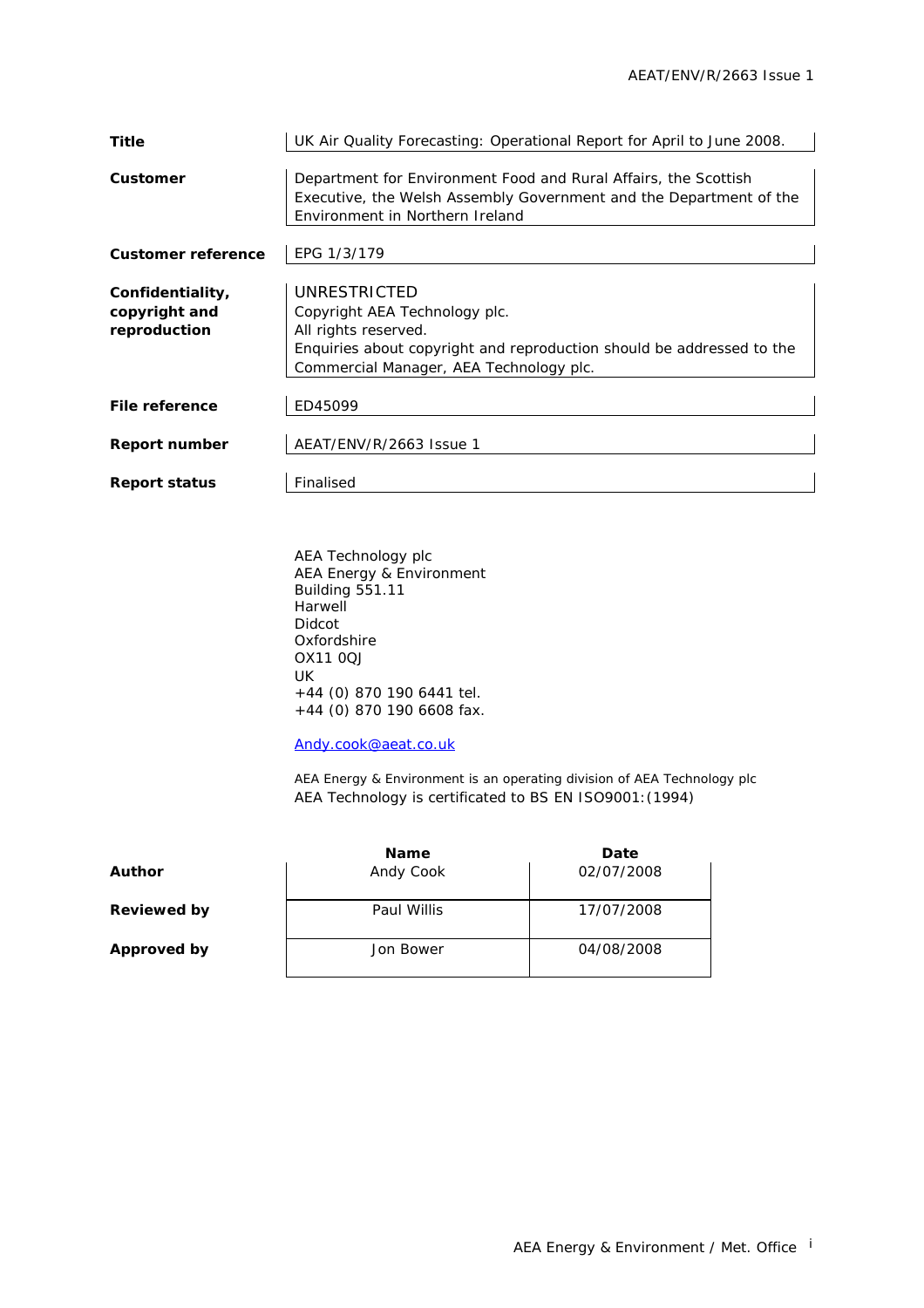| <b>Title</b>                                      | UK Air Quality Forecasting: Operational Report for April to June 2008.                                                                                                                    |
|---------------------------------------------------|-------------------------------------------------------------------------------------------------------------------------------------------------------------------------------------------|
| Customer                                          | Department for Environment Food and Rural Affairs, the Scottish<br>Executive, the Welsh Assembly Government and the Department of the<br>Environment in Northern Ireland                  |
| <b>Customer reference</b>                         | EPG 1/3/179                                                                                                                                                                               |
| Confidentiality,<br>copyright and<br>reproduction | UNRESTRICTED<br>Copyright AEA Technology plc.<br>All rights reserved.<br>Enquiries about copyright and reproduction should be addressed to the<br>Commercial Manager, AEA Technology plc. |
| File reference                                    | ED45099                                                                                                                                                                                   |
| <b>Report number</b>                              | AEAT/ENV/R/2663 Issue 1                                                                                                                                                                   |
| <b>Report status</b>                              | Finalised                                                                                                                                                                                 |

AEA Technology plc AEA Energy & Environment Building 551.11 **Harwell** Didcot Oxfordshire OX11 0QJ UK +44 (0) 870 190 6441 tel. +44 (0) 870 190 6608 fax.

[Andy.cook@aeat.co.uk](mailto:Jaume.targa@aeat.co.uk)

AEA Energy & Environment is an operating division of AEA Technology plc AEA Technology is certificated to BS EN ISO9001:(1994)

|                    | <b>Name</b> | Date       |
|--------------------|-------------|------------|
| Author             | Andy Cook   | 02/07/2008 |
| <b>Reviewed by</b> | Paul Willis | 17/07/2008 |
| Approved by        | Jon Bower   | 04/08/2008 |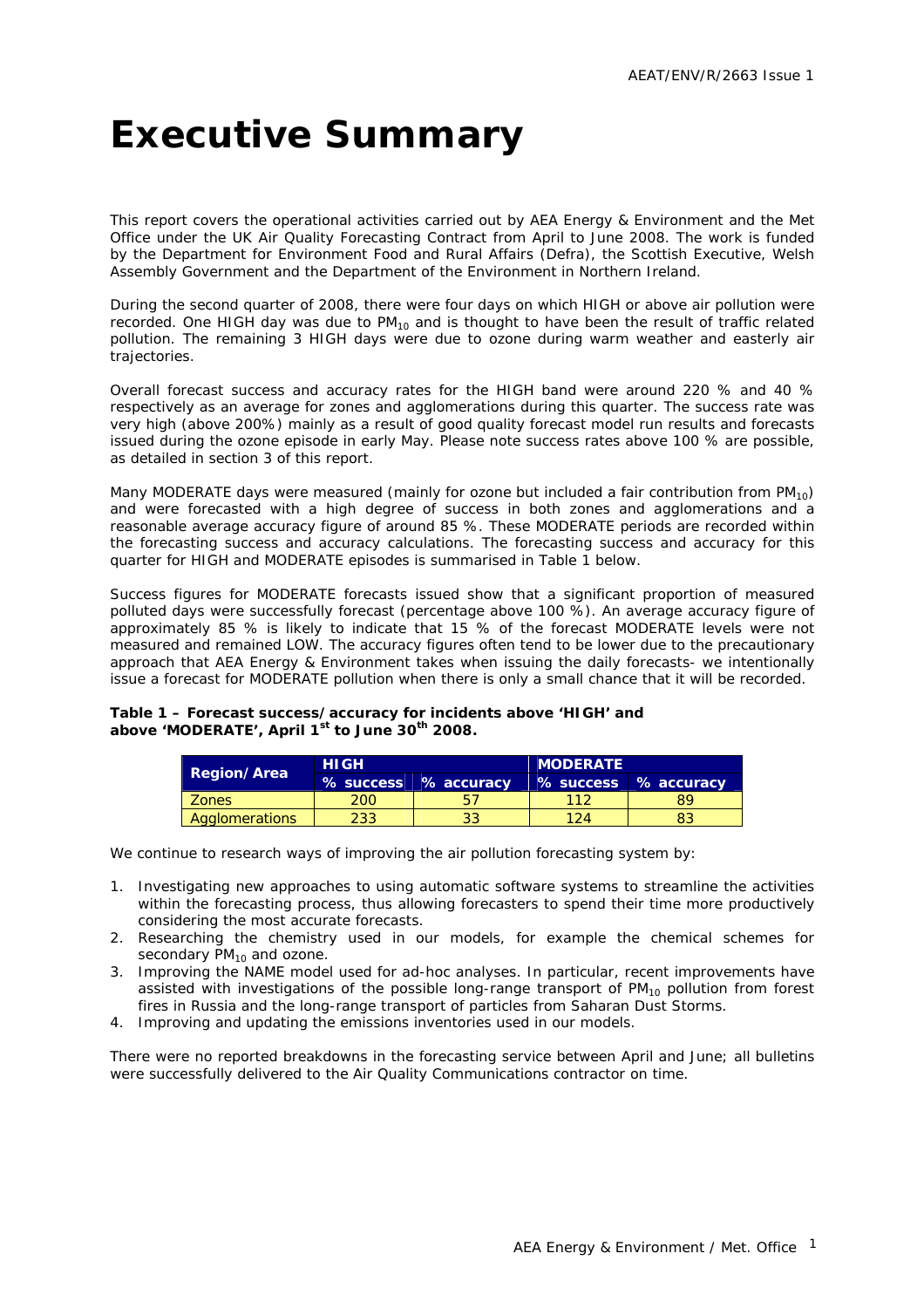## <span id="page-3-0"></span>**Executive Summary**

This report covers the operational activities carried out by AEA Energy & Environment and the Met Office under the UK Air Quality Forecasting Contract from April to June 2008. The work is funded by the Department for Environment Food and Rural Affairs (Defra), the Scottish Executive, Welsh Assembly Government and the Department of the Environment in Northern Ireland.

During the second quarter of 2008, there were four days on which HIGH or above air pollution were recorded. One HIGH day was due to  $PM_{10}$  and is thought to have been the result of traffic related pollution. The remaining 3 HIGH days were due to ozone during warm weather and easterly air trajectories.

Overall forecast success and accuracy rates for the HIGH band were around 220 % and 40 % respectively as an average for zones and agglomerations during this quarter. The success rate was very high (above 200%) mainly as a result of good quality forecast model run results and forecasts issued during the ozone episode in early May. Please note success rates above 100 % are possible, as detailed in section 3 of this report.

Many MODERATE days were measured (mainly for ozone but included a fair contribution from  $PM_{10}$ ) and were forecasted with a high degree of success in both zones and agglomerations and a reasonable average accuracy figure of around 85 %. These MODERATE periods are recorded within the forecasting success and accuracy calculations. The forecasting success and accuracy for this quarter for HIGH and MODERATE episodes is summarised in Table 1 below.

Success figures for MODERATE forecasts issued show that a significant proportion of measured polluted days were successfully forecast (percentage above 100 %). An average accuracy figure of approximately 85 % is likely to indicate that 15 % of the forecast MODERATE levels were not measured and remained LOW. The accuracy figures often tend to be lower due to the precautionary approach that AEA Energy & Environment takes when issuing the daily forecasts- we intentionally issue a forecast for MODERATE pollution when there is only a small chance that it will be recorded.

**Table 1 – Forecast success/accuracy for incidents above 'HIGH' and above 'MODERATE', April 1st to June 30th 2008.**

| <b>Region/Area</b> | <b>HIGH</b> |                      | <b>MODERATE</b> |                      |  |  |  |
|--------------------|-------------|----------------------|-----------------|----------------------|--|--|--|
|                    |             | % success % accuracy |                 | % success % accuracy |  |  |  |
| <b>Zones</b>       | <b>200</b>  | ь.                   | 112             |                      |  |  |  |
| Agglomerations     | 233         | 33                   | 124             |                      |  |  |  |

We continue to research ways of improving the air pollution forecasting system by:

- 1. Investigating new approaches to using automatic software systems to streamline the activities within the forecasting process, thus allowing forecasters to spend their time more productively considering the most accurate forecasts.
- 2. Researching the chemistry used in our models, for example the chemical schemes for secondary  $PM_{10}$  and ozone.
- 3. Improving the NAME model used for ad-hoc analyses. In particular, recent improvements have assisted with investigations of the possible long-range transport of  $PM_{10}$  pollution from forest fires in Russia and the long-range transport of particles from Saharan Dust Storms.
- 4. Improving and updating the emissions inventories used in our models.

There were no reported breakdowns in the forecasting service between April and June; all bulletins were successfully delivered to the Air Quality Communications contractor on time.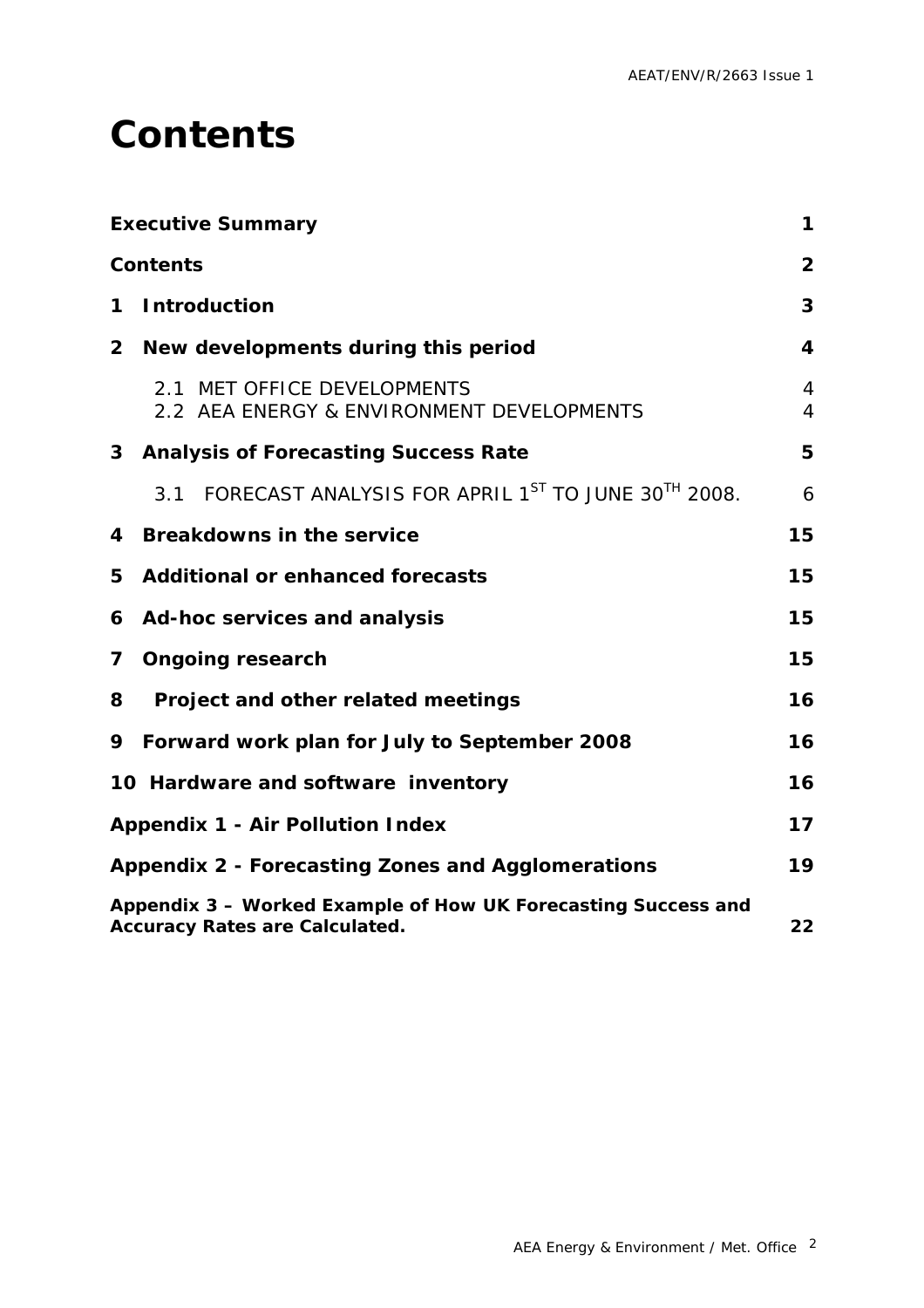## <span id="page-4-0"></span>**Contents**

|                | <b>Executive Summary</b>                                                                               | $\mathbf 1$         |
|----------------|--------------------------------------------------------------------------------------------------------|---------------------|
|                | <b>Contents</b>                                                                                        | $\overline{2}$      |
| 1              | <b>Introduction</b>                                                                                    | 3                   |
| $\mathbf{2}$   | New developments during this period                                                                    | $\boldsymbol{4}$    |
|                | 2.1 MET OFFICE DEVELOPMENTS<br>2.2 AEA ENERGY & ENVIRONMENT DEVELOPMENTS                               | 4<br>$\overline{4}$ |
|                | 3 Analysis of Forecasting Success Rate                                                                 | 5                   |
|                | FORECAST ANALYSIS FOR APRIL 1ST TO JUNE 30TH 2008.<br>3.1                                              | 6                   |
| 4              | <b>Breakdowns in the service</b>                                                                       | 15                  |
| 5              | <b>Additional or enhanced forecasts</b>                                                                | 15                  |
|                | 6 Ad-hoc services and analysis                                                                         | 15                  |
| $\overline{7}$ | <b>Ongoing research</b>                                                                                | 15                  |
| 8              | Project and other related meetings                                                                     | 16                  |
| 9              | Forward work plan for July to September 2008                                                           | 16                  |
|                | 10 Hardware and software inventory                                                                     | 16                  |
|                | <b>Appendix 1 - Air Pollution Index</b>                                                                | 17                  |
|                | Appendix 2 - Forecasting Zones and Agglomerations                                                      | 19                  |
|                | Appendix 3 - Worked Example of How UK Forecasting Success and<br><b>Accuracy Rates are Calculated.</b> | 22                  |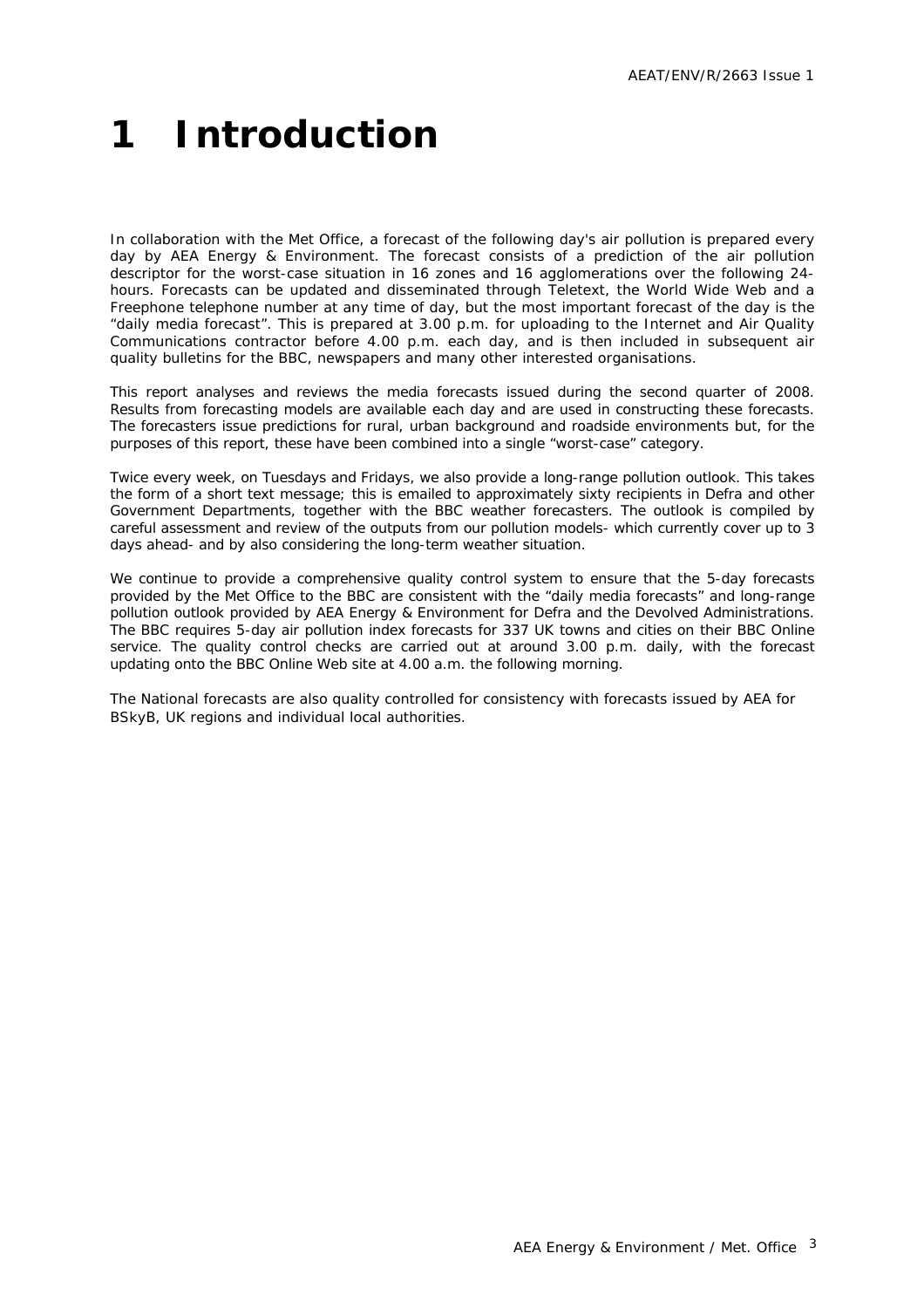# <span id="page-5-0"></span>**1 Introduction**

In collaboration with the Met Office, a forecast of the following day's air pollution is prepared every day by AEA Energy & Environment. The forecast consists of a prediction of the air pollution descriptor for the worst-case situation in 16 zones and 16 agglomerations over the following 24 hours. Forecasts can be updated and disseminated through Teletext, the World Wide Web and a Freephone telephone number at any time of day, but the most important forecast of the day is the "daily media forecast". This is prepared at 3.00 p.m. for uploading to the Internet and Air Quality Communications contractor before 4.00 p.m. each day, and is then included in subsequent air quality bulletins for the BBC, newspapers and many other interested organisations.

This report analyses and reviews the media forecasts issued during the second quarter of 2008. Results from forecasting models are available each day and are used in constructing these forecasts. The forecasters issue predictions for rural, urban background and roadside environments but, for the purposes of this report, these have been combined into a single "worst-case" category.

Twice every week, on Tuesdays and Fridays, we also provide a long-range pollution outlook. This takes the form of a short text message; this is emailed to approximately sixty recipients in Defra and other Government Departments, together with the BBC weather forecasters. The outlook is compiled by careful assessment and review of the outputs from our pollution models- which currently cover up to 3 days ahead- and by also considering the long-term weather situation.

We continue to provide a comprehensive quality control system to ensure that the 5-day forecasts provided by the Met Office to the BBC are consistent with the "daily media forecasts" and long-range pollution outlook provided by AEA Energy & Environment for Defra and the Devolved Administrations. The BBC requires 5-day air pollution index forecasts for 337 UK towns and cities on their BBC Online service. The quality control checks are carried out at around 3.00 p.m. daily, with the forecast updating onto the BBC Online Web site at 4.00 a.m. the following morning.

The National forecasts are also quality controlled for consistency with forecasts issued by AEA for BSkyB, UK regions and individual local authorities.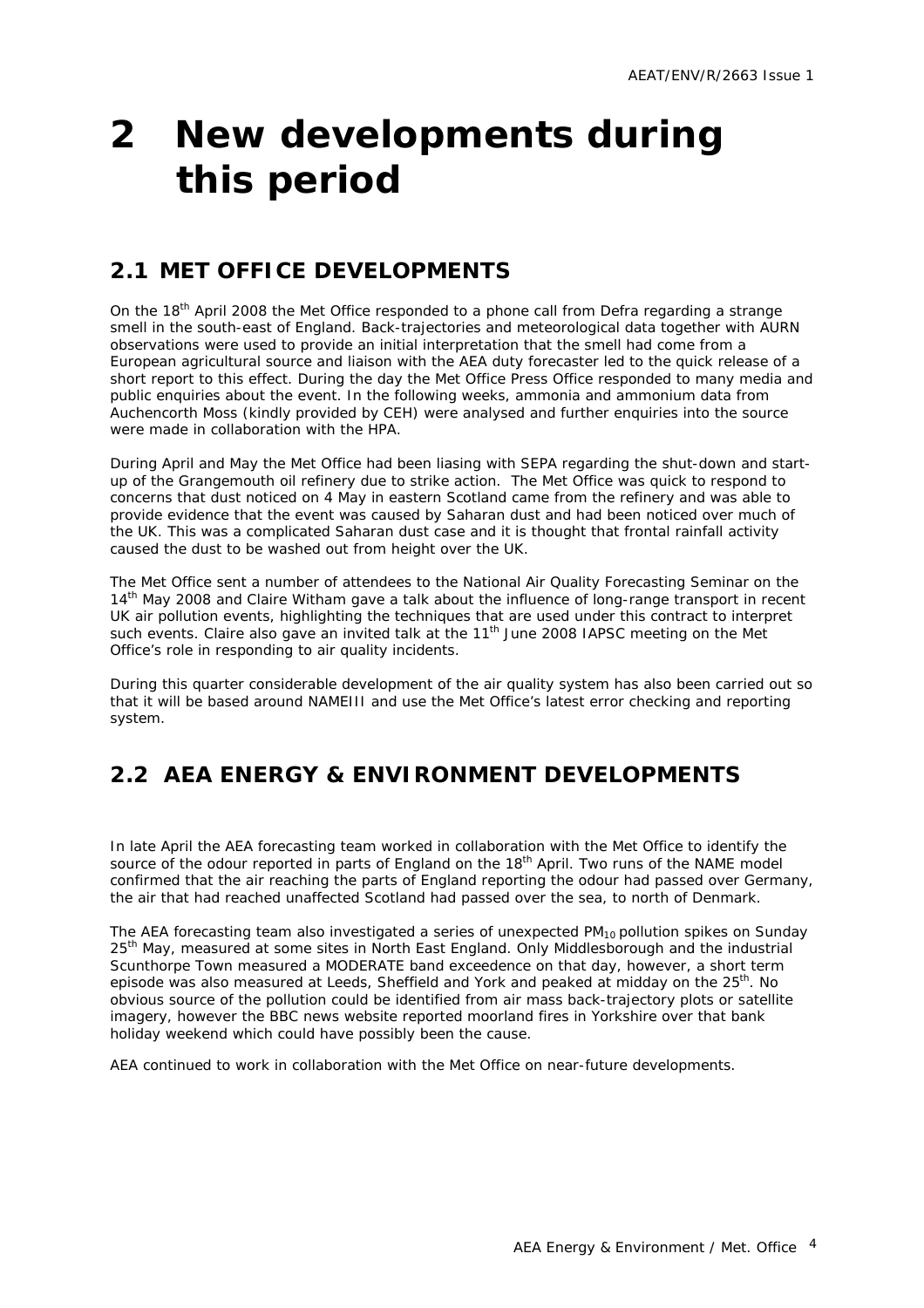# <span id="page-6-0"></span>**2 New developments during this period**

### **2.1 MET OFFICE DEVELOPMENTS**

On the 18<sup>th</sup> April 2008 the Met Office responded to a phone call from Defra regarding a strange smell in the south-east of England. Back-trajectories and meteorological data together with AURN observations were used to provide an initial interpretation that the smell had come from a European agricultural source and liaison with the AEA duty forecaster led to the quick release of a short report to this effect. During the day the Met Office Press Office responded to many media and public enquiries about the event. In the following weeks, ammonia and ammonium data from Auchencorth Moss (kindly provided by CEH) were analysed and further enquiries into the source were made in collaboration with the HPA.

During April and May the Met Office had been liasing with SEPA regarding the shut-down and startup of the Grangemouth oil refinery due to strike action. The Met Office was quick to respond to concerns that dust noticed on 4 May in eastern Scotland came from the refinery and was able to provide evidence that the event was caused by Saharan dust and had been noticed over much of the UK. This was a complicated Saharan dust case and it is thought that frontal rainfall activity caused the dust to be washed out from height over the UK.

The Met Office sent a number of attendees to the National Air Quality Forecasting Seminar on the 14<sup>th</sup> May 2008 and Claire Witham gave a talk about the influence of long-range transport in recent UK air pollution events, highlighting the techniques that are used under this contract to interpret such events. Claire also gave an invited talk at the  $11<sup>th</sup>$  June 2008 IAPSC meeting on the Met Office's role in responding to air quality incidents.

During this quarter considerable development of the air quality system has also been carried out so that it will be based around NAMEIII and use the Met Office's latest error checking and reporting system.

### **2.2 AEA ENERGY & ENVIRONMENT DEVELOPMENTS**

In late April the AEA forecasting team worked in collaboration with the Met Office to identify the source of the odour reported in parts of England on the 18<sup>th</sup> April. Two runs of the NAME model confirmed that the air reaching the parts of England reporting the odour had passed over Germany, the air that had reached unaffected Scotland had passed over the sea, to north of Denmark.

The AEA forecasting team also investigated a series of unexpected  $PM_{10}$  pollution spikes on Sunday 25<sup>th</sup> May, measured at some sites in North East England. Only Middlesborough and the industrial Scunthorpe Town measured a MODERATE band exceedence on that day, however, a short term episode was also measured at Leeds, Sheffield and York and peaked at midday on the  $25<sup>th</sup>$ . No obvious source of the pollution could be identified from air mass back-trajectory plots or satellite imagery, however the BBC news website reported moorland fires in Yorkshire over that bank holiday weekend which could have possibly been the cause.

AEA continued to work in collaboration with the Met Office on near-future developments.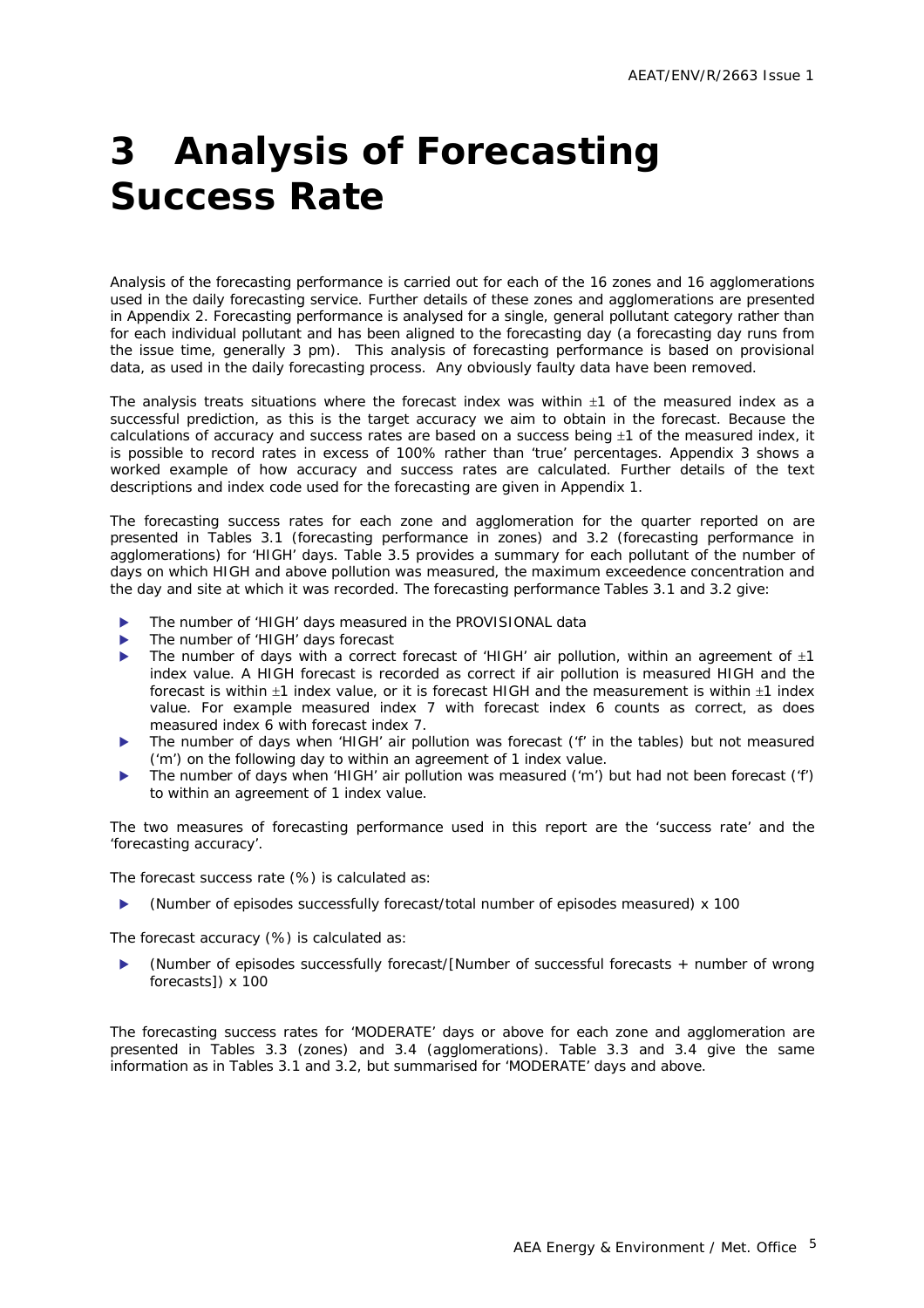# <span id="page-7-0"></span>**3 Analysis of Forecasting Success Rate**

Analysis of the forecasting performance is carried out for each of the 16 zones and 16 agglomerations used in the daily forecasting service. Further details of these zones and agglomerations are presented in Appendix 2. Forecasting performance is analysed for a single, general pollutant category rather than for each individual pollutant and has been aligned to the forecasting day (a forecasting day runs from the issue time, generally 3 pm). This analysis of forecasting performance is based on provisional data, as used in the daily forecasting process. Any obviously faulty data have been removed.

The analysis treats situations where the forecast index was within  $\pm 1$  of the measured index as a successful prediction, as this is the target accuracy we aim to obtain in the forecast. Because the calculations of accuracy and success rates are based on a success being  $\pm 1$  of the measured index, it is possible to record rates in excess of 100% rather than 'true' percentages. Appendix 3 shows a worked example of how accuracy and success rates are calculated. Further details of the text descriptions and index code used for the forecasting are given in Appendix 1.

The forecasting success rates for each zone and agglomeration for the quarter reported on are presented in Tables 3.1 (forecasting performance in zones) and 3.2 (forecasting performance in agglomerations) for 'HIGH' days. Table 3.5 provides a summary for each pollutant of the number of days on which HIGH and above pollution was measured, the maximum exceedence concentration and the day and site at which it was recorded. The forecasting performance Tables 3.1 and 3.2 give:

- The number of 'HIGH' days measured in the PROVISIONAL data
- The number of 'HIGH' days forecast
- The number of days with a correct forecast of 'HIGH' air pollution, within an agreement of  $\pm 1$ index value. A HIGH forecast is recorded as correct if air pollution is measured HIGH and the forecast is within ±1 index value, or it is forecast HIGH and the measurement is within ±1 index value. For example measured index 7 with forecast index 6 counts as correct, as does measured index 6 with forecast index 7.
- The number of days when 'HIGH' air pollution was forecast ('f' in the tables) but not measured ('m') on the following day to within an agreement of 1 index value.
- The number of days when 'HIGH' air pollution was measured ('m') but had not been forecast ('f') to within an agreement of 1 index value.

The two measures of forecasting performance used in this report are the 'success rate' and the 'forecasting accuracy'.

The forecast success rate (%) is calculated as:

(Number of episodes successfully forecast/total number of episodes measured) x 100

The forecast accuracy (%) is calculated as:

X (Number of episodes successfully forecast/[Number of successful forecasts + number of wrong forecasts]) x 100

The forecasting success rates for 'MODERATE' days or above for each zone and agglomeration are presented in Tables 3.3 (zones) and 3.4 (agglomerations). Table 3.3 and 3.4 give the same information as in Tables 3.1 and 3.2, but summarised for 'MODERATE' days and above.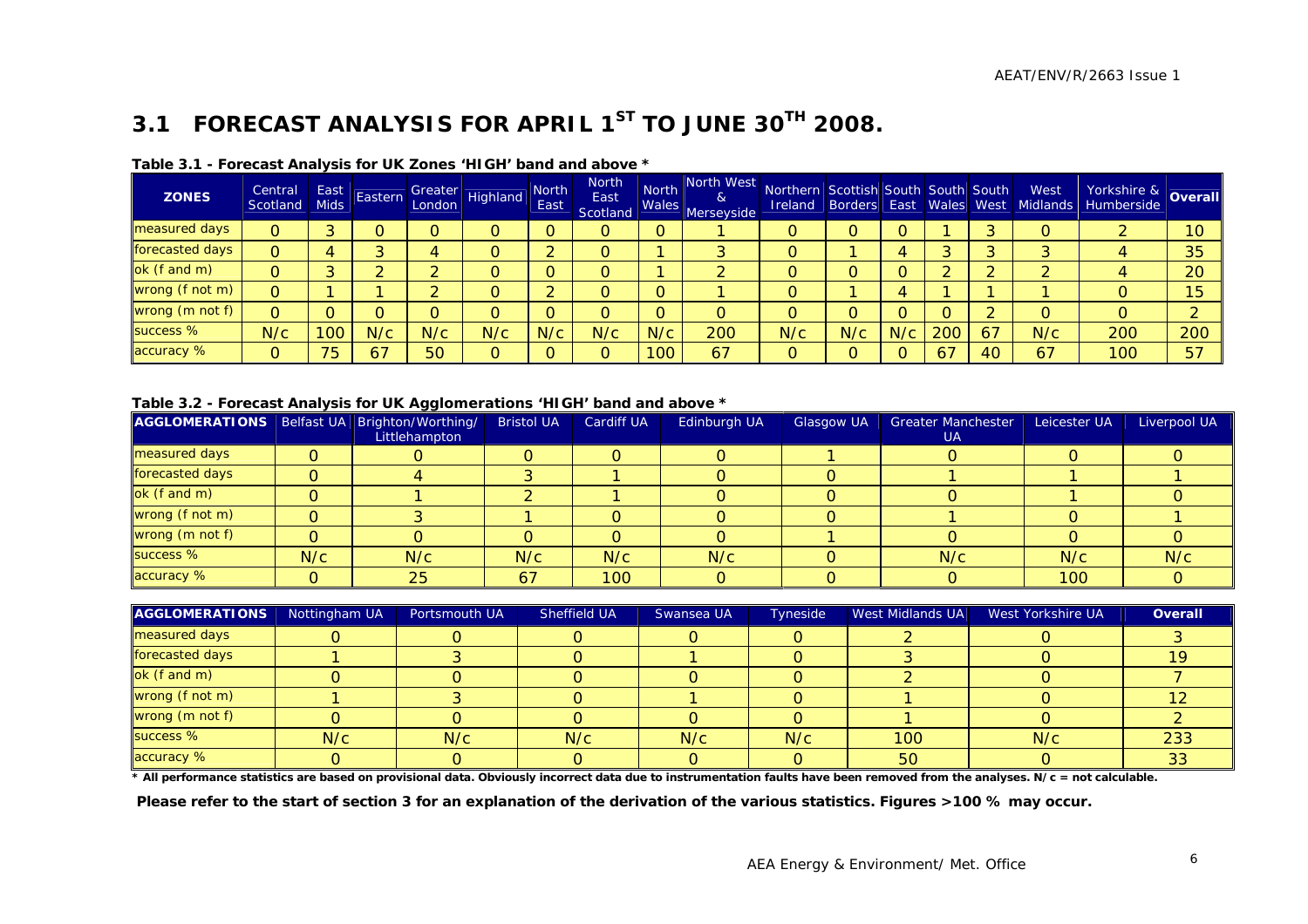### **3.1 FORECAST ANALYSIS FOR APRIL 1ST TO JUNE 30TH 2008.**

| <b>ZONES</b>    | Central<br>Scotland | East<br><b>Mids</b> | Eastern |     | Greater<br>London Highland | <b>North</b><br>East | <b>North</b><br>East<br>Scotland | <b>North</b> | North West Northern Scottish South South South<br>&<br>and Wales Merseyside | <b>Ireland</b> |     |     |     |    | West | Vorkshire & Overall'<br><b>Borders East Wales West Midlands Humberside</b> |     |
|-----------------|---------------------|---------------------|---------|-----|----------------------------|----------------------|----------------------------------|--------------|-----------------------------------------------------------------------------|----------------|-----|-----|-----|----|------|----------------------------------------------------------------------------|-----|
| measured days   | 0                   |                     |         |     |                            |                      | O                                | O            |                                                                             |                |     |     |     |    |      |                                                                            | 10  |
| forecasted days | 0                   |                     |         |     |                            |                      | $\Omega$                         |              |                                                                             |                |     |     | ົ   |    |      |                                                                            | 35  |
| ok (f and m)    | 0                   |                     |         |     |                            |                      | O                                |              |                                                                             |                |     |     | ົ   |    |      |                                                                            | 20  |
| wrong (f not m) | 0                   |                     |         |     |                            |                      | 0                                | O            |                                                                             |                |     |     |     |    |      |                                                                            | 15  |
| wrong (m not f) | 0                   |                     |         |     |                            |                      | O                                | O            | O                                                                           |                |     |     |     |    |      | 0                                                                          |     |
| success %       | N/c                 | 100                 | N/c     | N/c | N/c                        | N/c                  | N/c                              | N/c          | 200                                                                         | N/c            | N/c | N/c | 200 | 67 | N/c  | 200                                                                        | 200 |
| accuracy %      | 0                   | 75                  | 67      | 50  |                            |                      | $\Omega$                         | 100          | 67                                                                          | n              |     |     | 67  | 40 | 67   | 100                                                                        | 57  |

#### **Table 3.1 - Forecast Analysis for UK Zones 'HIGH' band and above \***

**Table 3.2 - Forecast Analysis for UK Agglomerations 'HIGH' band and above \*** 

| AGGLOMERATIONS   Belfast UA   Brighton/Worthing/ |     | Littlehampton | <b>Bristol UA</b> | <b>Cardiff UA</b> | Edinburgh UA | <b>Glasgow UA</b> | <b>Greater Manchester</b><br>UA | Leicester UA | Liverpool UA |
|--------------------------------------------------|-----|---------------|-------------------|-------------------|--------------|-------------------|---------------------------------|--------------|--------------|
| measured days                                    |     |               |                   |                   |              |                   |                                 |              |              |
| forecasted days                                  |     |               |                   |                   |              |                   |                                 |              |              |
| ok (f and m)                                     |     |               |                   |                   |              |                   |                                 |              |              |
| wrong (f not m)                                  | 0   |               |                   |                   |              |                   |                                 |              |              |
| wrong (m not f)                                  |     |               |                   |                   |              |                   |                                 |              |              |
| success %                                        | N/c | N/c           | N/c               | N/c               | N/c          |                   | N/c                             | N/c          | N/c          |
| accuracy %                                       | O   | 25            | 67                | 100               |              |                   |                                 | 100          |              |

| <b>AGGLOMERATIONS</b> | Nottingham UA | Portsmouth UA | Sheffield UA | Swansea UA | <b>Tyneside</b> | West Midlands UA | West Yorkshire UA | Overall |
|-----------------------|---------------|---------------|--------------|------------|-----------------|------------------|-------------------|---------|
| measured days         |               |               |              |            |                 |                  |                   |         |
| forecasted days       |               |               |              |            |                 |                  |                   |         |
| ok (f and m)          |               |               |              |            |                 |                  |                   |         |
| wrong (f not m)       |               |               |              |            |                 |                  |                   |         |
| wrong (m not f)       |               |               |              |            |                 |                  |                   |         |
| success %             | N/c           | N/c           | N/c          | N/c        | N/c             | 100              | N/c               | 233     |
| accuracy %            |               |               |              |            |                 | 50               |                   |         |

**\* All performance statistics are based on provisional data. Obviously incorrect data due to instrumentation faults have been removed from the analyses. N/c = not calculable.** 

<span id="page-8-0"></span> **Please refer to the start of section 3 for an explanation of the derivation of the various statistics. Figures >100 % may occur.**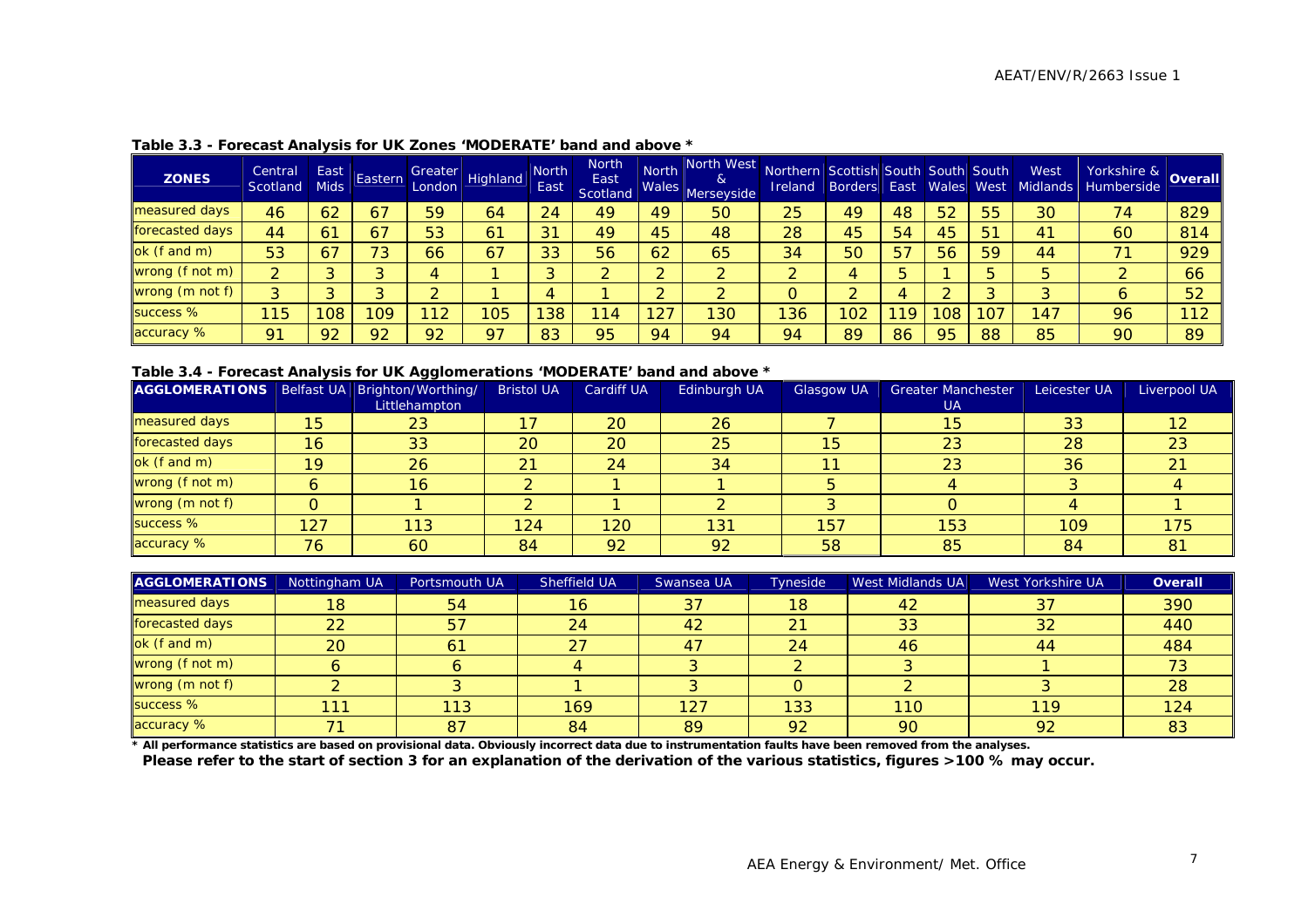| <b>ZONES</b>    | Central<br>Scotland | East<br><b>Mids</b> | Eastern | Greater<br>London | Highland       | North<br>East | <b>North</b><br>East<br>Scotland | <b>North</b><br>Wales | North West<br>&<br>Merseyside | Northern Scottish South South South<br><b>Ireland</b> |     |    |    |    | West<br>Borders East Wales West Midlands | Yorkshire & Overall<br>Humberside |     |
|-----------------|---------------------|---------------------|---------|-------------------|----------------|---------------|----------------------------------|-----------------------|-------------------------------|-------------------------------------------------------|-----|----|----|----|------------------------------------------|-----------------------------------|-----|
| measured days   | 46                  | 62                  | 67      | 59                | 64             | 24            | 49                               | 49                    | 50                            | 25                                                    | 49  | 48 | 52 | 55 | 30                                       | 74                                | 829 |
| forecasted days | 44                  | 6 <sup>1</sup>      | 67      | 53                | 6 <sup>1</sup> | 31            | 49                               | 45                    | 48                            | 28                                                    | 45  | 54 | 45 | 51 | 4 <sup>1</sup>                           | 60                                | 814 |
| ok (f and m)    | 53                  | 67                  | 73      | 66                | 67             | 33            | 56                               | 62                    | 65                            | 34                                                    | 50  | 57 | 56 | 59 | 44                                       | 71                                | 929 |
| wrong (f not m) | ົ                   |                     |         |                   |                |               |                                  |                       | $\sim$                        |                                                       | Д.  |    |    |    |                                          |                                   | 66  |
| wrong (m not f) | ົ                   |                     |         |                   |                |               |                                  |                       |                               |                                                       |     |    |    |    |                                          | 6                                 | 52  |
| success %       | 115                 | 108                 | 09      |                   | 105            | 38            | 14                               | 27                    | 130                           | 136                                                   | 102 | 19 | 08 |    | 147                                      | 96                                | 112 |
| accuracy %      | 91                  | 92                  | 92      | 92                | Q <sub>7</sub> | 83            | 95                               | 94                    | 94                            | 94                                                    | 89  | 86 | 95 | 88 | 85                                       | 90                                | 89  |

#### **Table 3.3 - Forecast Analysis for UK Zones 'MODERATE' band and above \***

#### **Table 3.4 - Forecast Analysis for UK Agglomerations 'MODERATE' band and above \***

| AGGLOMERATIONS   Belfast UA   Brighton/Worthing/ |     |               | <b>Bristol UA</b> | Cardiff UA | Edinburgh UA | Glasgow UA | <b>Greater Manchester</b> | Leicester UA | Liverpool UA |
|--------------------------------------------------|-----|---------------|-------------------|------------|--------------|------------|---------------------------|--------------|--------------|
|                                                  |     | Littlehampton |                   |            |              |            | <b>UA</b>                 |              |              |
| measured days                                    | 15  | 23            |                   | 20         | 26           |            | 15                        | 33           |              |
| forecasted days                                  | 16  | 33            | 20                | 20         | 25           | 15         | 23                        | 28           | 23           |
| ok (f and m)                                     | 19  | 26            | 21                | 24         | 34           | 11         | 23                        | 36           |              |
| wrong (f not m)                                  | 6   | 16            |                   |            |              |            |                           |              |              |
| wrong (m not f)                                  | O   |               |                   |            |              |            |                           |              |              |
| success %                                        | 127 | 113           | 124               | 120        | 131          | 157        | 153                       | 109          | 175          |
| accuracy %                                       | 76  | 60            | 84                | 92         | 92           | 58         | 85                        | 84           | 81           |

| <b>AGGLOMERATIONS</b> | Nottingham UA | Portsmouth UA | Sheffield UA | Swansea UA | Tyneside | West Midlands UA | West Yorkshire UA | Overall |
|-----------------------|---------------|---------------|--------------|------------|----------|------------------|-------------------|---------|
| measured days         | 18            | 54            | 16           | 37         | 18       | 42               | 37                | 390     |
| forecasted days       | 22            | 57            | 24           | 42         | 21       | 33               | 32                | 440     |
| ok (f and m)          | 20            | 61            | 27           | 47         | 24       | 46               | 44                | 484     |
| wrong (f not m)       |               |               |              |            |          |                  |                   |         |
| wrong (m not f)       |               |               |              |            |          |                  |                   | 28      |
| success %             | 11            | 113           | 169          | 127        | 133      | 110              | 119               | 124     |
| accuracy %            |               | 87            | 84           | 89         | 92       | 90               | 92                | 83      |

**\* All performance statistics are based on provisional data. Obviously incorrect data due to instrumentation faults have been removed from the analyses.** 

**Please refer to the start of section 3 for an explanation of the derivation of the various statistics, figures >100 % may occur.**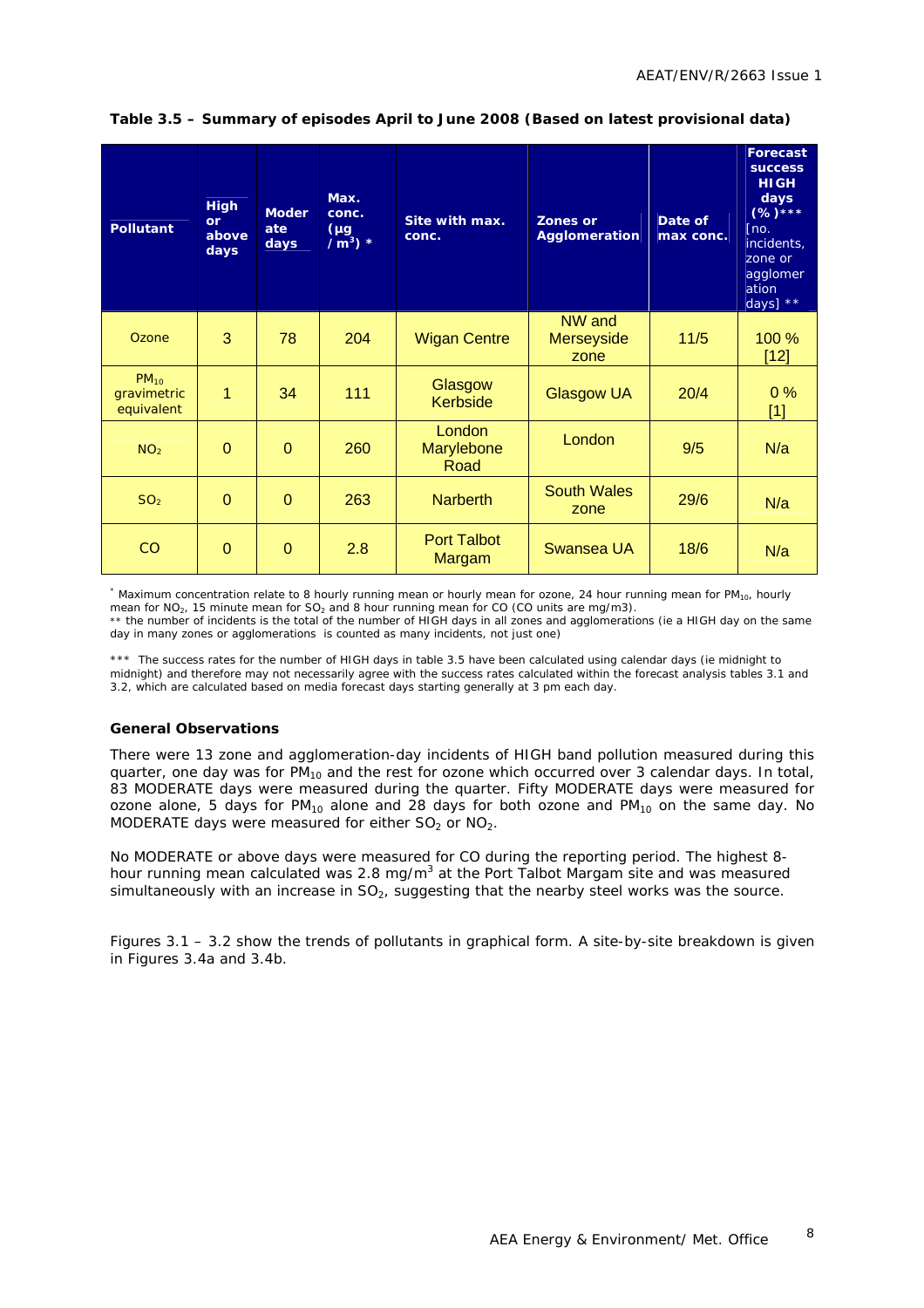| <b>Pollutant</b>                       | <b>High</b><br>or<br>above<br>days | <b>Moder</b><br>ate<br>days | Max.<br>conc.<br>(µg<br>$/m^3$ ) * | Site with max.<br>conc.             | <b>Zones or</b><br>Agglomeration    | Date of<br>max conc. | <b>Forecast</b><br><b>SUCCESS</b><br><b>HIGH</b><br>days<br>$(%)****$<br>[no.]<br>incidents.<br>zone or<br>agglomer<br>ation<br>days] $**$ |
|----------------------------------------|------------------------------------|-----------------------------|------------------------------------|-------------------------------------|-------------------------------------|----------------------|--------------------------------------------------------------------------------------------------------------------------------------------|
| Ozone                                  | 3                                  | 78                          | 204                                | <b>Wigan Centre</b>                 | NW and<br><b>Merseyside</b><br>zone | $11/5$               | 100 %<br>$[12]$                                                                                                                            |
| $PM_{10}$<br>gravimetric<br>equivalent | 1                                  | 34                          | 111                                | Glasgow<br>Kerbside                 | <b>Glasgow UA</b>                   | 20/4                 | 0%<br>$[1]$                                                                                                                                |
| NO <sub>2</sub>                        | $\mathbf{0}$                       | $\overline{0}$              | 260                                | <b>London</b><br>Marylebone<br>Road | London                              | 9/5                  | N/a                                                                                                                                        |
| SO <sub>2</sub>                        | $\overline{0}$                     | $\overline{0}$              | 263                                | <b>Narberth</b>                     | <b>South Wales</b><br>zone          | 29/6                 | N/a                                                                                                                                        |
| CO                                     | $\mathbf{0}$                       | $\overline{0}$              | 2.8                                | <b>Port Talbot</b><br>Margam        | Swansea UA                          | 18/6                 | N/a                                                                                                                                        |

#### **Table 3.5 – Summary of episodes April to June 2008 (Based on latest provisional data)**

\* Maximum concentration relate to 8 hourly running mean or hourly mean for ozone, 24 hour running mean for PM<sub>10</sub>, hourly mean for NO<sub>2</sub>, 15 minute mean for SO<sub>2</sub> and 8 hour running mean for CO (CO units are mg/m3). \*\* the number of incidents is the total of the number of HIGH days in all zones and agglomerations (ie a HIGH day on the same day in many zones or agglomerations is counted as many incidents, not just one)

\*\*\* The success rates for the number of HIGH days in table 3.5 have been calculated using calendar days (ie midnight to midnight) and therefore may not necessarily agree with the success rates calculated within the forecast analysis tables 3.1 and 3.2, which are calculated based on media forecast days starting generally at 3 pm each day.

#### **General Observations**

There were 13 zone and agglomeration-day incidents of HIGH band pollution measured during this quarter, one day was for  $PM_{10}$  and the rest for ozone which occurred over 3 calendar days. In total, 83 MODERATE days were measured during the quarter. Fifty MODERATE days were measured for ozone alone, 5 days for  $PM_{10}$  alone and 28 days for both ozone and  $PM_{10}$  on the same day. No MODERATE days were measured for either  $SO_2$  or  $NO_2$ .

No MODERATE or above days were measured for CO during the reporting period. The highest 8 hour running mean calculated was 2.8 mg/m<sup>3</sup> at the Port Talbot Margam site and was measured simultaneously with an increase in  $SO<sub>2</sub>$ , suggesting that the nearby steel works was the source.

Figures 3.1 – 3.2 show the trends of pollutants in graphical form. A site-by-site breakdown is given in Figures 3.4a and 3.4b.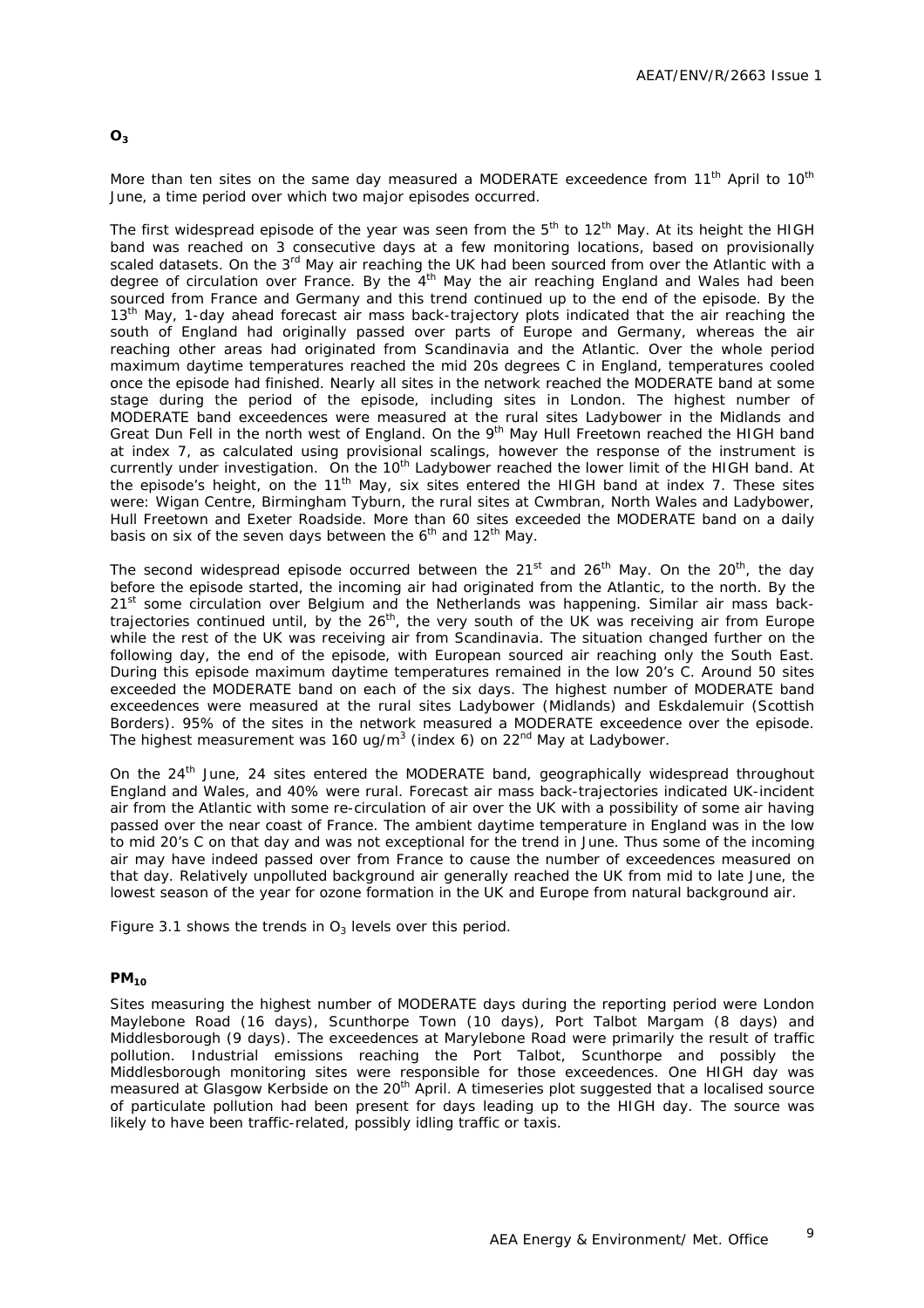#### **O3**

More than ten sites on the same day measured a MODERATE exceedence from 11<sup>th</sup> April to 10<sup>th</sup> June, a time period over which two major episodes occurred.

The first widespread episode of the year was seen from the  $5<sup>th</sup>$  to  $12<sup>th</sup>$  May. At its height the HIGH band was reached on 3 consecutive days at a few monitoring locations, based on provisionally scaled datasets. On the 3<sup>rd</sup> May air reaching the UK had been sourced from over the Atlantic with a degree of circulation over France. By the 4<sup>th</sup> May the air reaching England and Wales had been sourced from France and Germany and this trend continued up to the end of the episode. By the 13<sup>th</sup> May, 1-day ahead forecast air mass back-trajectory plots indicated that the air reaching the south of England had originally passed over parts of Europe and Germany, whereas the air reaching other areas had originated from Scandinavia and the Atlantic. Over the whole period maximum daytime temperatures reached the mid 20s degrees C in England, temperatures cooled once the episode had finished. Nearly all sites in the network reached the MODERATE band at some stage during the period of the episode, including sites in London. The highest number of MODERATE band exceedences were measured at the rural sites Ladybower in the Midlands and Great Dun Fell in the north west of England. On the 9<sup>th</sup> May Hull Freetown reached the HIGH band at index 7, as calculated using provisional scalings, however the response of the instrument is currently under investigation. On the 10<sup>th</sup> Ladybower reached the lower limit of the HIGH band. At the episode's height, on the  $11<sup>th</sup>$  May, six sites entered the HIGH band at index 7. These sites were: Wigan Centre, Birmingham Tyburn, the rural sites at Cwmbran, North Wales and Ladybower, Hull Freetown and Exeter Roadside. More than 60 sites exceeded the MODERATE band on a daily basis on six of the seven days between the  $6<sup>th</sup>$  and  $12<sup>th</sup>$  May.

The second widespread episode occurred between the 21<sup>st</sup> and 26<sup>th</sup> May. On the 20<sup>th</sup>, the day before the episode started, the incoming air had originated from the Atlantic, to the north. By the 21<sup>st</sup> some circulation over Belgium and the Netherlands was happening. Similar air mass backtrajectories continued until, by the 26<sup>th</sup>, the very south of the UK was receiving air from Europe while the rest of the UK was receiving air from Scandinavia. The situation changed further on the following day, the end of the episode, with European sourced air reaching only the South East. During this episode maximum daytime temperatures remained in the low 20's C. Around 50 sites exceeded the MODERATE band on each of the six days. The highest number of MODERATE band exceedences were measured at the rural sites Ladybower (Midlands) and Eskdalemuir (Scottish Borders). 95% of the sites in the network measured a MODERATE exceedence over the episode. The highest measurement was 160 ug/m<sup>3</sup> (index 6) on 22<sup>nd</sup> May at Ladybower.

On the 24<sup>th</sup> June, 24 sites entered the MODERATE band, geographically widespread throughout England and Wales, and 40% were rural. Forecast air mass back-trajectories indicated UK-incident air from the Atlantic with some re-circulation of air over the UK with a possibility of some air having passed over the near coast of France. The ambient daytime temperature in England was in the low to mid 20's C on that day and was not exceptional for the trend in June. Thus some of the incoming air may have indeed passed over from France to cause the number of exceedences measured on that day. Relatively unpolluted background air generally reached the UK from mid to late June, the lowest season of the year for ozone formation in the UK and Europe from natural background air.

Figure 3.1 shows the trends in  $O_3$  levels over this period.

#### **PM10**

Sites measuring the highest number of MODERATE days during the reporting period were London Maylebone Road (16 days), Scunthorpe Town (10 days), Port Talbot Margam (8 days) and Middlesborough (9 days). The exceedences at Marylebone Road were primarily the result of traffic pollution. Industrial emissions reaching the Port Talbot, Scunthorpe and possibly the Middlesborough monitoring sites were responsible for those exceedences. One HIGH day was measured at Glasgow Kerbside on the 20<sup>th</sup> April. A timeseries plot suggested that a localised source of particulate pollution had been present for days leading up to the HIGH day. The source was likely to have been traffic-related, possibly idling traffic or taxis.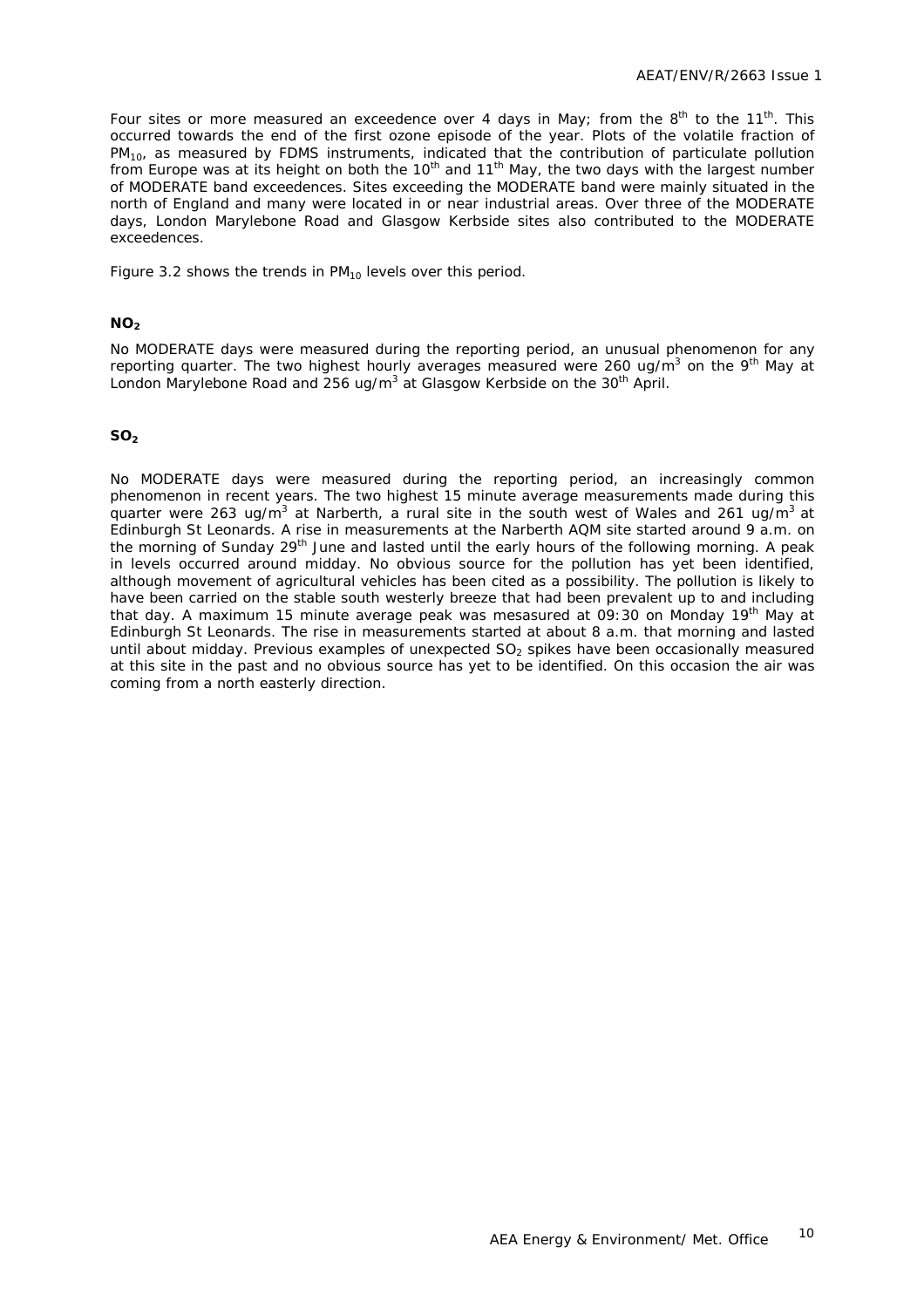Four sites or more measured an exceedence over 4 days in May; from the  $8<sup>th</sup>$  to the 11<sup>th</sup>. This occurred towards the end of the first ozone episode of the year. Plots of the volatile fraction of PM<sub>10</sub>, as measured by FDMS instruments, indicated that the contribution of particulate pollution from Europe was at its height on both the  $10^{th}$  and  $11^{th}$  May, the two days with the largest number of MODERATE band exceedences. Sites exceeding the MODERATE band were mainly situated in the north of England and many were located in or near industrial areas. Over three of the MODERATE days, London Marylebone Road and Glasgow Kerbside sites also contributed to the MODERATE exceedences.

Figure 3.2 shows the trends in  $PM_{10}$  levels over this period.

#### **NO<sub>2</sub>**

No MODERATE days were measured during the reporting period, an unusual phenomenon for any reporting quarter. The two highest hourly averages measured were 260 ug/m<sup>3</sup> on the 9<sup>th</sup> May at London Marylebone Road and 256 ug/m<sup>3</sup> at Glasgow Kerbside on the 30<sup>th</sup> April.

#### **SO<sub>2</sub>**

No MODERATE days were measured during the reporting period, an increasingly common phenomenon in recent years. The two highest 15 minute average measurements made during this quarter were 263 ug/m<sup>3</sup> at Narberth, a rural site in the south west of Wales and 261 ug/m<sup>3</sup> at Edinburgh St Leonards. A rise in measurements at the Narberth AQM site started around 9 a.m. on the morning of Sunday 29<sup>th</sup> June and lasted until the early hours of the following morning. A peak in levels occurred around midday. No obvious source for the pollution has yet been identified, although movement of agricultural vehicles has been cited as a possibility. The pollution is likely to have been carried on the stable south westerly breeze that had been prevalent up to and including that day. A maximum 15 minute average peak was mesasured at 09:30 on Monday 19<sup>th</sup> May at Edinburgh St Leonards. The rise in measurements started at about 8 a.m. that morning and lasted until about midday. Previous examples of unexpected  $SO<sub>2</sub>$  spikes have been occasionally measured at this site in the past and no obvious source has yet to be identified. On this occasion the air was coming from a north easterly direction.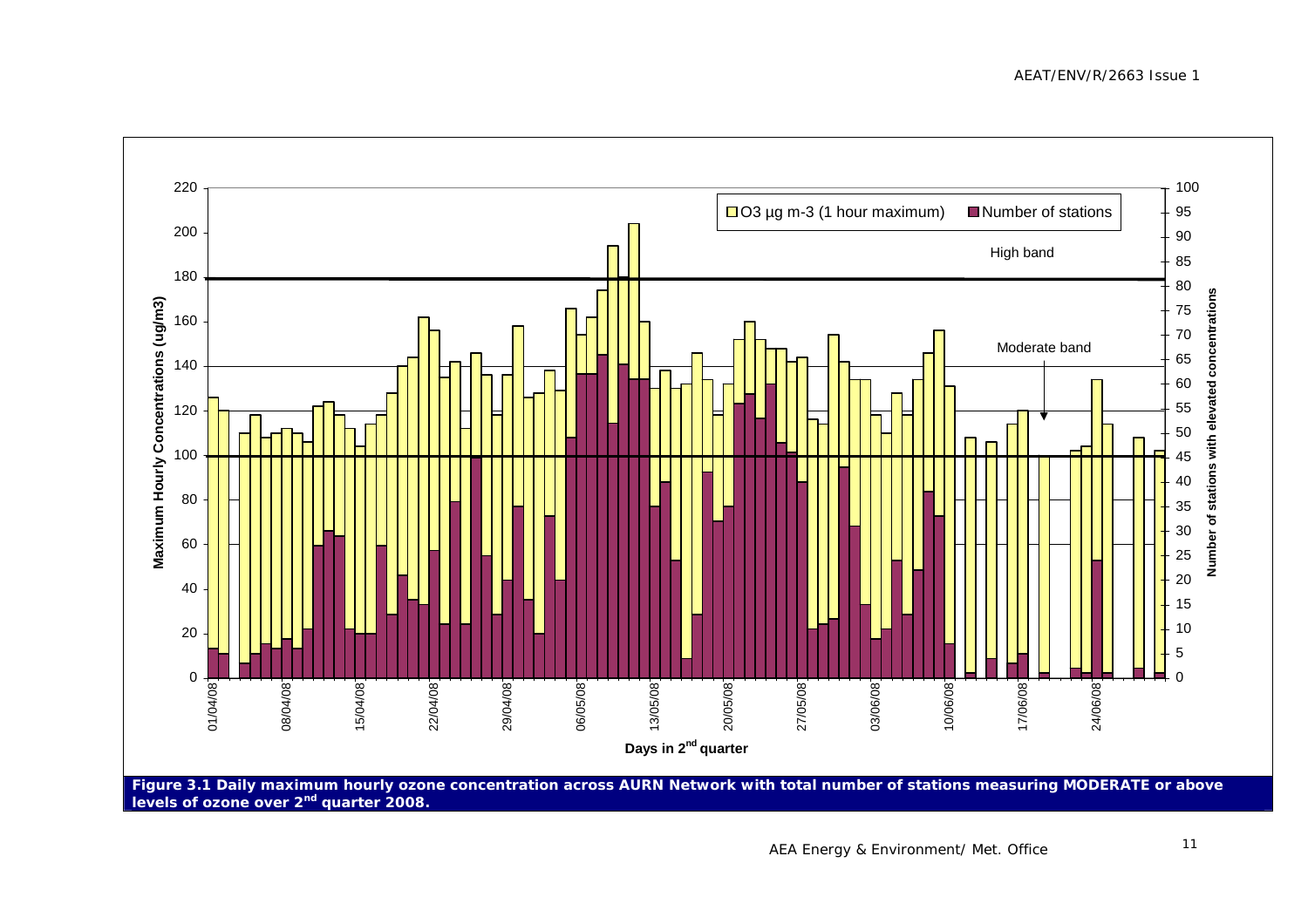

**levels of ozone over 2nd quarter 2008.**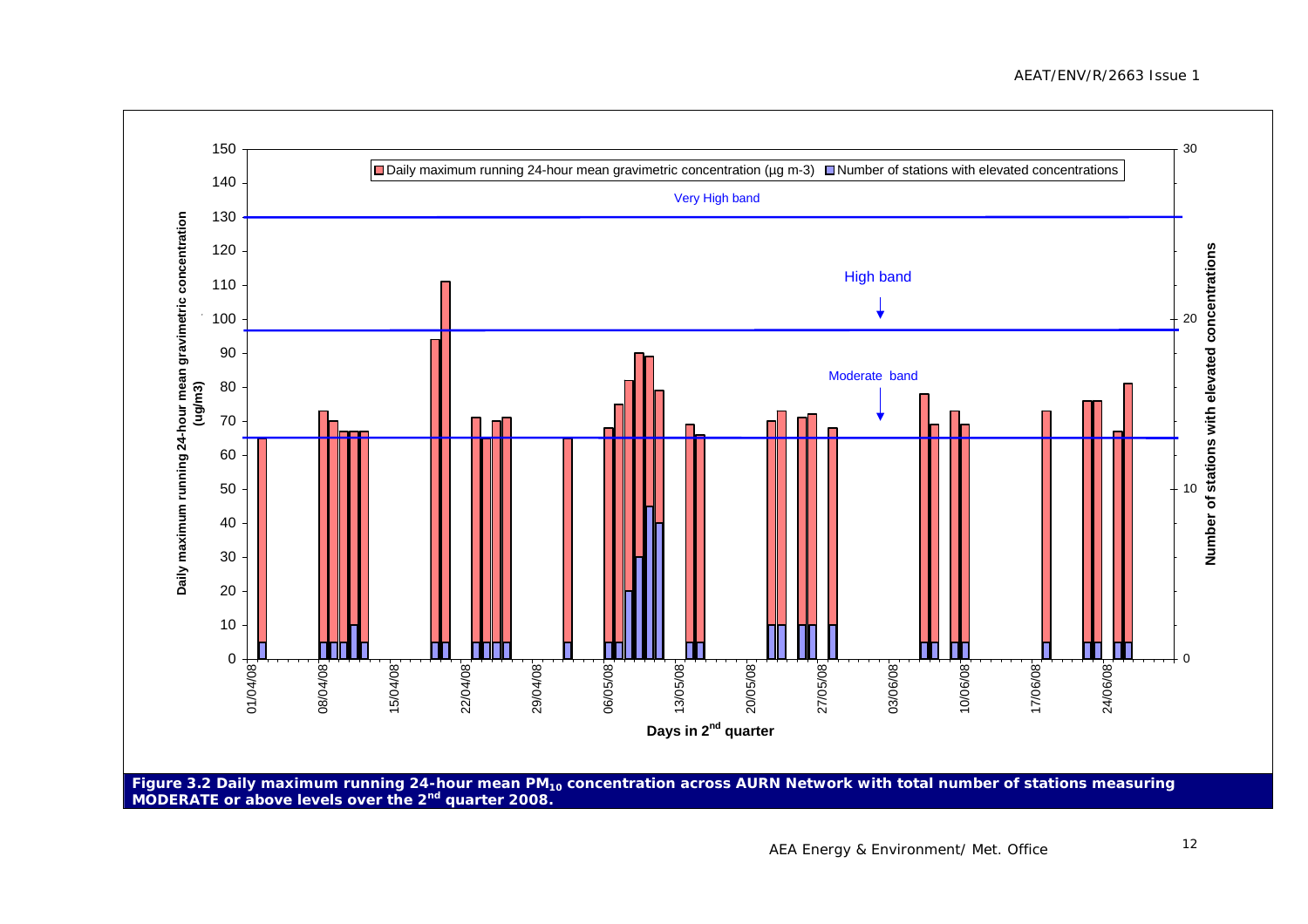#### AEAT/ENV/R/2663 Issue 1

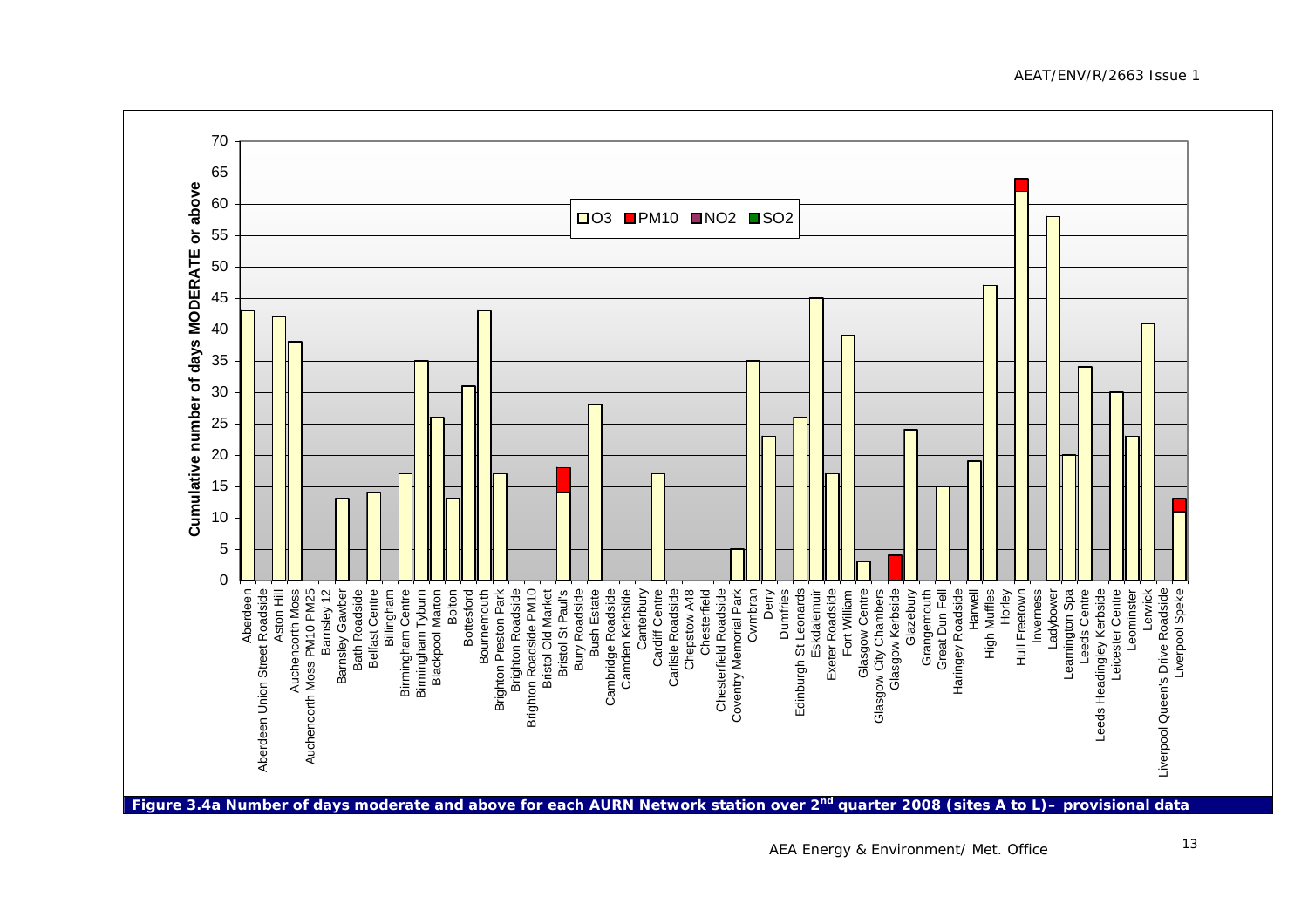AEAT/ENV/R/2663 Issue 1

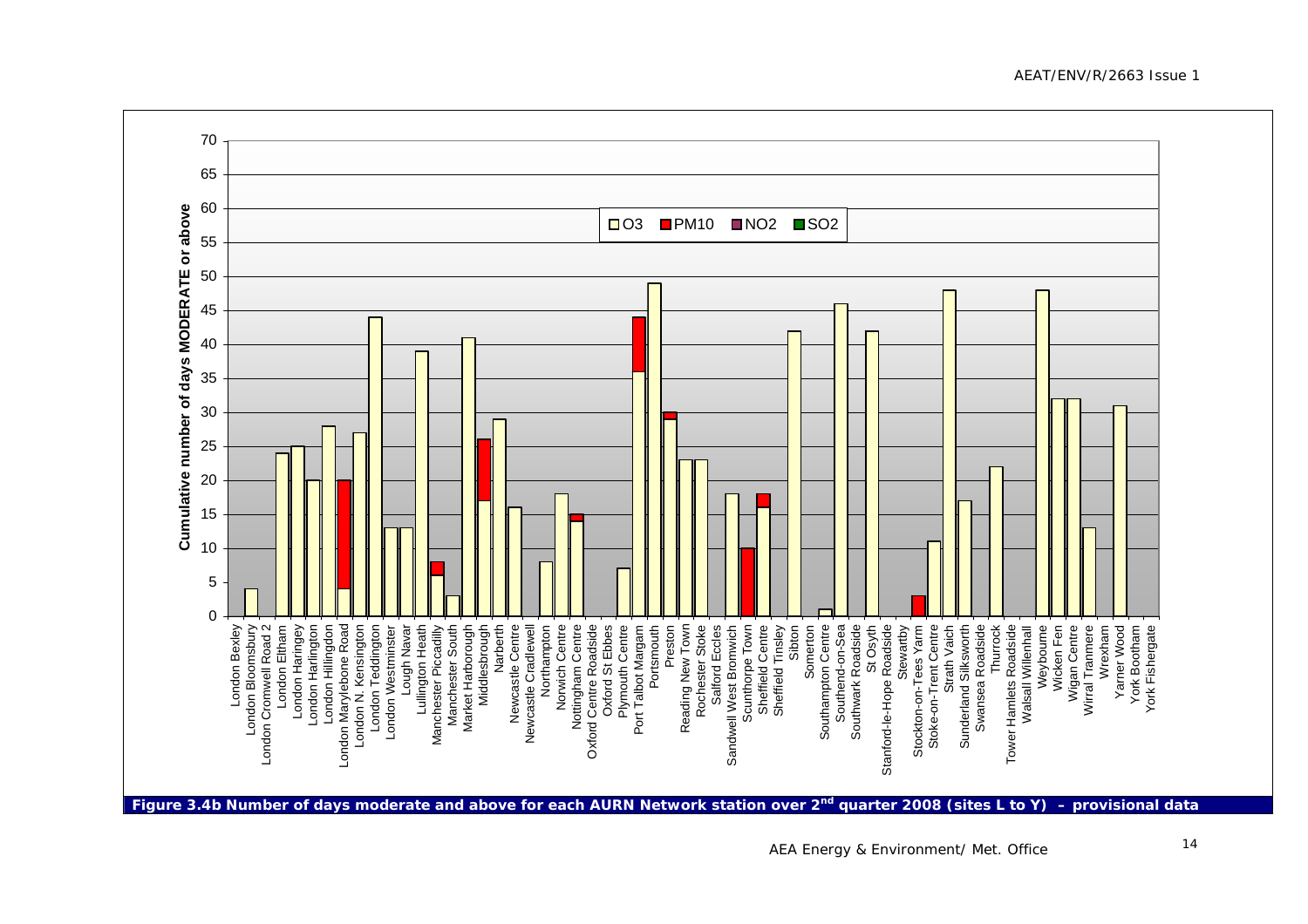AEAT/ENV/R/2663 Issue 1



**Figure 3.4b Number of days moderate and above for each AURN Network station over 2nd quarter 2008 (sites L to Y) – provisional data**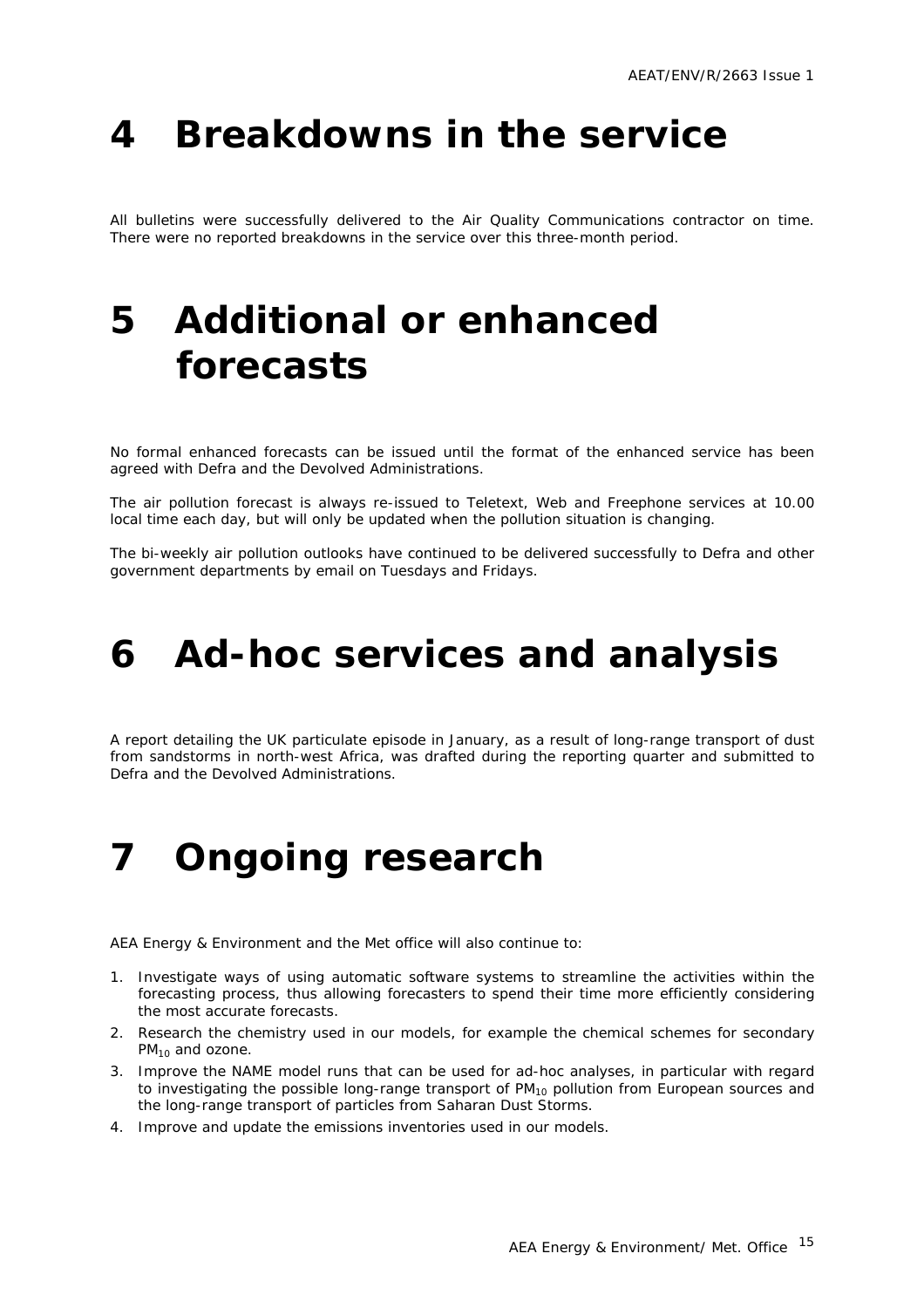# <span id="page-17-0"></span>**4 Breakdowns in the service**

All bulletins were successfully delivered to the Air Quality Communications contractor on time. There were no reported breakdowns in the service over this three-month period.

# **5 Additional or enhanced forecasts**

No formal enhanced forecasts can be issued until the format of the enhanced service has been agreed with Defra and the Devolved Administrations.

The air pollution forecast is always re-issued to Teletext, Web and Freephone services at 10.00 local time each day, but will only be updated when the pollution situation is changing.

The bi-weekly air pollution outlooks have continued to be delivered successfully to Defra and other government departments by email on Tuesdays and Fridays.

# **6 Ad-hoc services and analysis**

A report detailing the UK particulate episode in January, as a result of long-range transport of dust from sandstorms in north-west Africa, was drafted during the reporting quarter and submitted to Defra and the Devolved Administrations.

# **7 Ongoing research**

AEA Energy & Environment and the Met office will also continue to:

- 1. Investigate ways of using automatic software systems to streamline the activities within the forecasting process, thus allowing forecasters to spend their time more efficiently considering the most accurate forecasts.
- 2. Research the chemistry used in our models, for example the chemical schemes for secondary  $PM_{10}$  and ozone.
- 3. Improve the NAME model runs that can be used for ad-hoc analyses, in particular with regard to investigating the possible long-range transport of  $PM_{10}$  pollution from European sources and the long-range transport of particles from Saharan Dust Storms.
- 4. Improve and update the emissions inventories used in our models.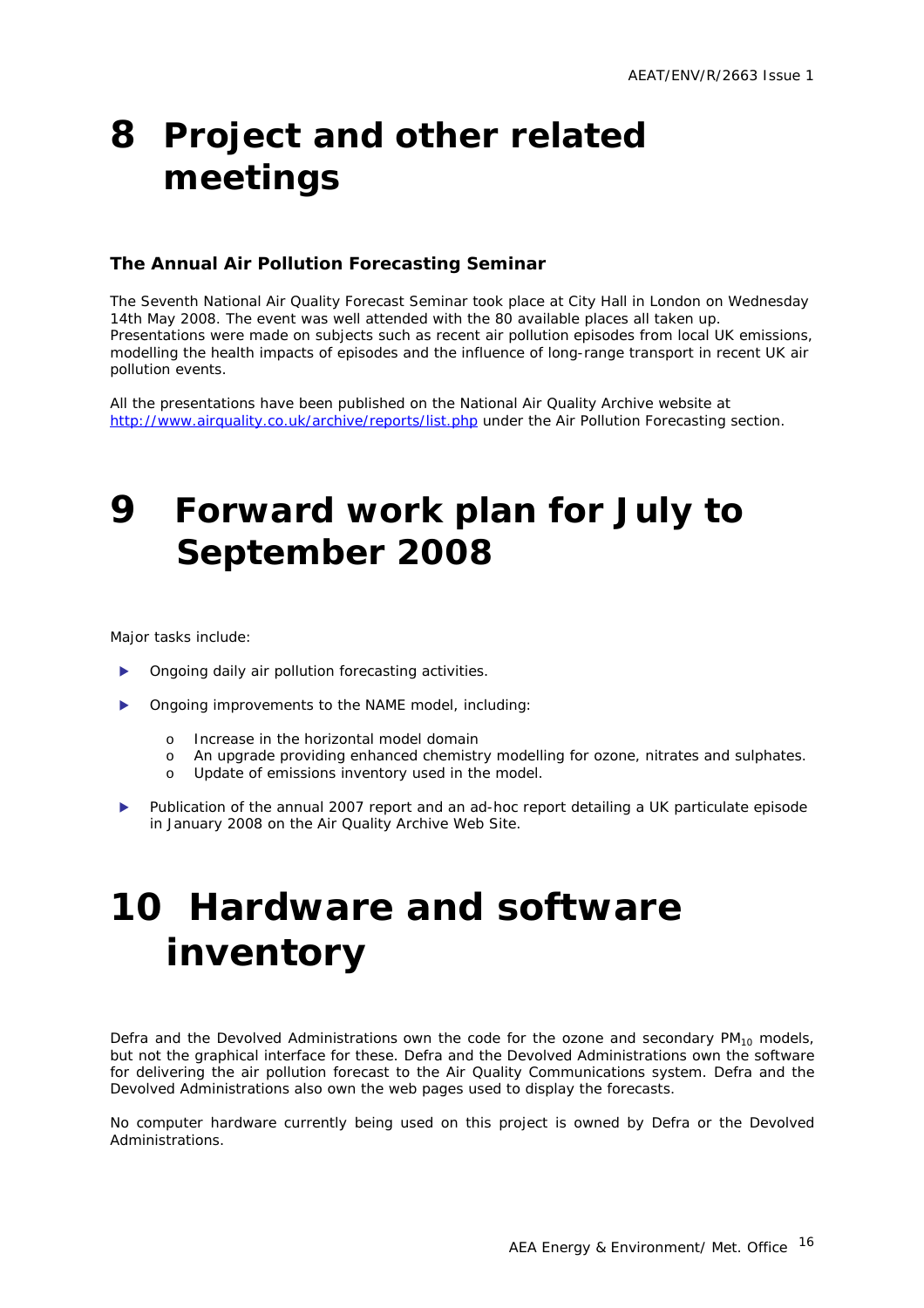## <span id="page-18-0"></span>**8 Project and other related meetings**

#### **The Annual Air Pollution Forecasting Seminar**

The Seventh National Air Quality Forecast Seminar took place at City Hall in London on Wednesday 14th May 2008. The event was well attended with the 80 available places all taken up. Presentations were made on subjects such as recent air pollution episodes from local UK emissions, modelling the health impacts of episodes and the influence of long-range transport in recent UK air pollution events.

All the presentations have been published on the National Air Quality Archive website at <http://www.airquality.co.uk/archive/reports/list.php>under the Air Pollution Forecasting section.

## **9 Forward work plan for July to September 2008**

Major tasks include:

- Ongoing daily air pollution forecasting activities.
- Ongoing improvements to the NAME model, including:
	- o Increase in the horizontal model domain
	- o An upgrade providing enhanced chemistry modelling for ozone, nitrates and sulphates.
	- o Update of emissions inventory used in the model.
- Publication of the annual 2007 report and an ad-hoc report detailing a UK particulate episode in January 2008 on the Air Quality Archive Web Site.

# **10 Hardware and software inventory**

Defra and the Devolved Administrations own the code for the ozone and secondary  $PM_{10}$  models, but not the graphical interface for these. Defra and the Devolved Administrations own the software for delivering the air pollution forecast to the Air Quality Communications system. Defra and the Devolved Administrations also own the web pages used to display the forecasts.

No computer hardware currently being used on this project is owned by Defra or the Devolved Administrations.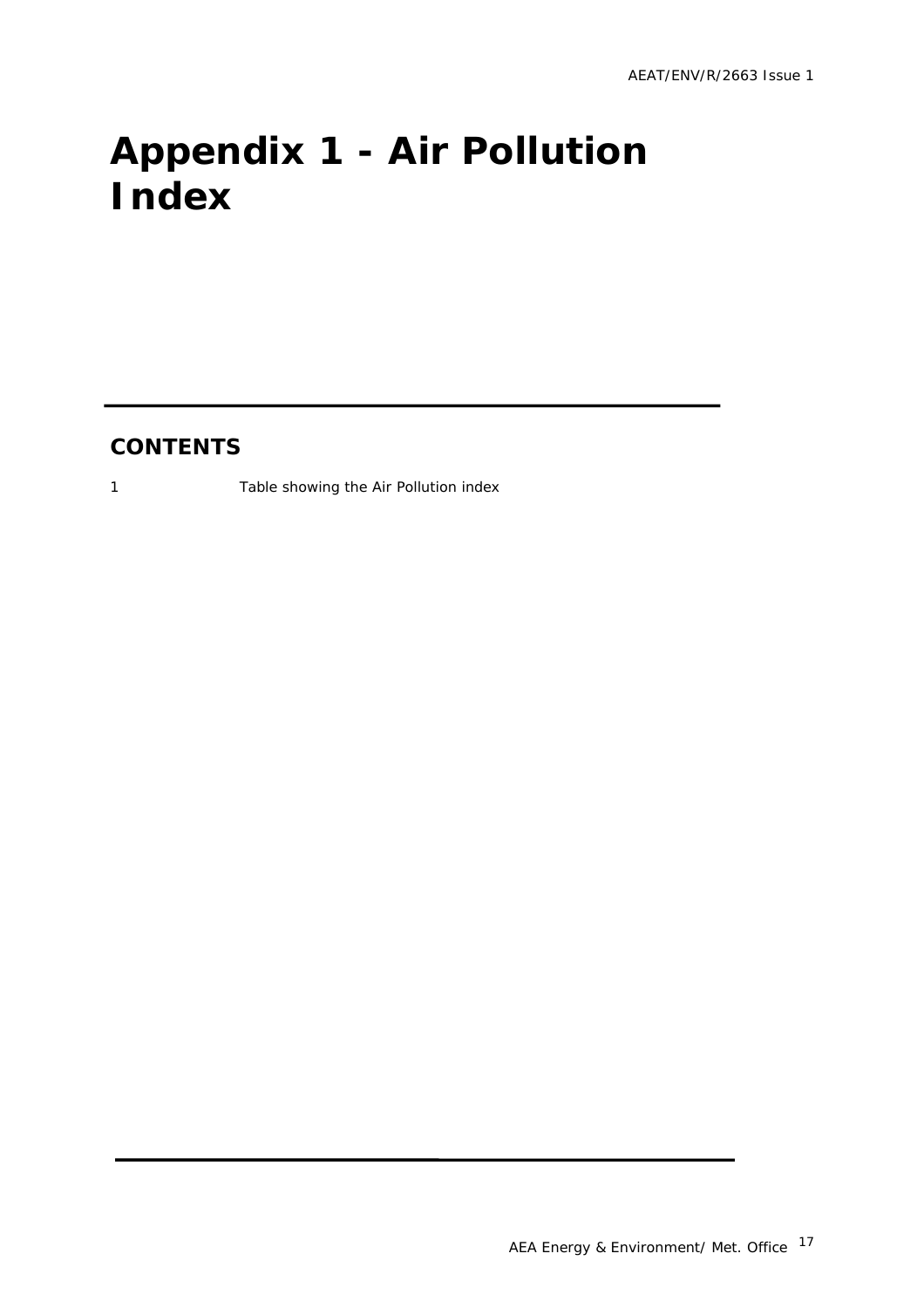# <span id="page-19-0"></span>**Appendix 1 - Air Pollution Index**

#### **CONTENTS**

1 Table showing the Air Pollution index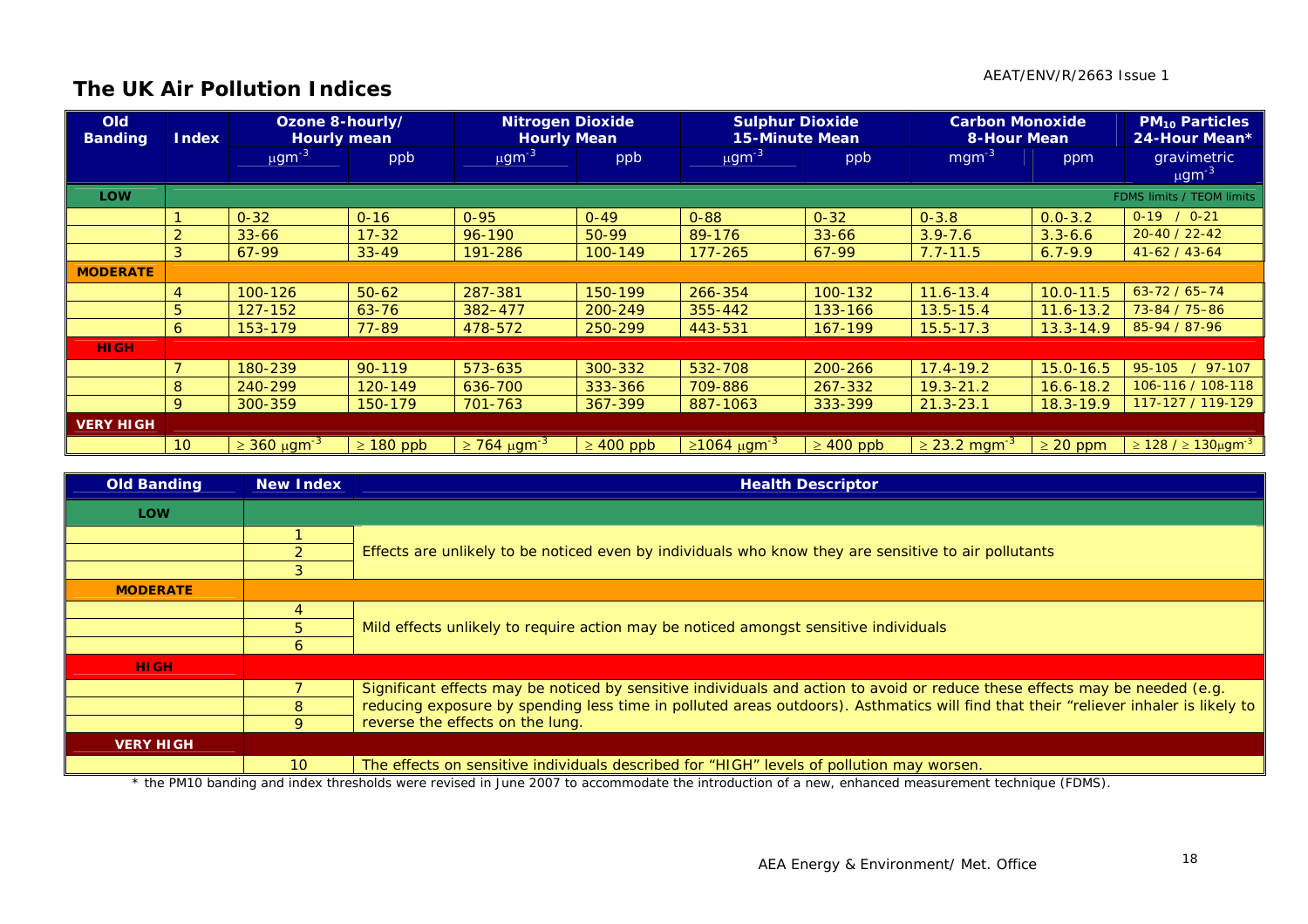#### **The UK Air Pollution Indices**

| <b>Old</b><br><b>Banding</b> | <b>Index</b>    | Ozone 8-hourly/<br><b>Hourly mean</b> |                | <b>Nitrogen Dioxide</b><br><b>Hourly Mean</b> |                | <b>Sulphur Dioxide</b><br><b>15-Minute Mean</b> |                | <b>Carbon Monoxide</b><br><b>8-Hour Mean</b> |               | <b>PM<sub>10</sub> Particles</b><br>24-Hour Mean* |
|------------------------------|-----------------|---------------------------------------|----------------|-----------------------------------------------|----------------|-------------------------------------------------|----------------|----------------------------------------------|---------------|---------------------------------------------------|
|                              |                 | $\mu$ gm <sup>-3</sup>                | ppb            | $\mu$ gm <sup>-3</sup>                        | ppb            | $\mu$ gm <sup>-3</sup>                          | ppb            | $mgm^{-3}$                                   | ppm           | gravimetric<br>$\mu$ gm <sup>-3</sup>             |
| <b>LOW</b>                   |                 |                                       |                |                                               |                |                                                 |                |                                              |               | FDMS limits / TEOM limits                         |
|                              |                 | $0 - 32$                              | $0 - 16$       | $0 - 95$                                      | $0 - 49$       | $0 - 88$                                        | $0 - 32$       | $0 - 3.8$                                    | $0.0 - 3.2$   | $0-19$ / $0-21$                                   |
|                              |                 | $33 - 66$                             | $17 - 32$      | 96-190                                        | $50-99$        | 89-176                                          | $33 - 66$      | $3.9 - 7.6$                                  | $3.3 - 6.6$   | $20 - 40 / 22 - 42$                               |
|                              | 3               | 67-99                                 | $33 - 49$      | 191-286                                       | 100-149        | $177 - 265$                                     | 67-99          | $7.7 - 11.5$                                 | $6.7 - 9.9$   | $41-62/43-64$                                     |
| <b>MODERATE</b>              |                 |                                       |                |                                               |                |                                                 |                |                                              |               |                                                   |
|                              | 4               | 100-126                               | $50 - 62$      | 287-381                                       | 150-199        | 266-354                                         | 100-132        | $11.6 - 13.4$                                | $10.0 - 11.5$ | $63 - 72 / 65 - 74$                               |
|                              | 5               | 127-152                               | $63 - 76$      | 382-477                                       | 200-249        | 355-442                                         | 133-166        | $13.5 - 15.4$                                | $11.6 - 13.2$ | 73-84 / 75-86                                     |
|                              | 6               | 153-179                               | 77-89          | 478-572                                       | 250-299        | 443-531                                         | 167-199        | $15.5 - 17.3$                                | $13.3 - 14.9$ | 85-94 / 87-96                                     |
| <b>HIGH</b>                  |                 |                                       |                |                                               |                |                                                 |                |                                              |               |                                                   |
|                              |                 | 180-239                               | $90 - 119$     | 573-635                                       | 300-332        | 532-708                                         | 200-266        | $17.4 - 19.2$                                | $15.0 - 16.5$ | $/97-107$<br>95-105                               |
|                              | 8               | 240-299                               | 120-149        | 636-700                                       | 333-366        | 709-886                                         | 267-332        | $19.3 - 21.2$                                | $16.6 - 18.2$ | 106-116 / 108-118                                 |
|                              | 9               | 300-359                               | 150-179        | 701-763                                       | 367-399        | 887-1063                                        | 333-399        | $21.3 - 23.1$                                | $18.3 - 19.9$ | 117-127 / 119-129                                 |
| <b>VERY HIGH</b>             |                 |                                       |                |                                               |                |                                                 |                |                                              |               |                                                   |
|                              | 10 <sup>°</sup> | $\geq 360 \ \mu \text{gm}^{-3}$       | $\geq 180$ ppb | $\geq$ 764 µgm <sup>-3</sup>                  | $\geq 400$ ppb | $≥1064 \mu g m-3$                               | $\geq 400$ ppb | $\geq$ 23.2 mgm <sup>-3</sup>                | $\geq$ 20 ppm | $\geq 128$ / $\geq 130 \mu$ gm <sup>-3</sup>      |

| <b>Old Banding</b> | New Index       | <b>Health Descriptor</b>                                                                                                            |  |  |  |  |  |  |
|--------------------|-----------------|-------------------------------------------------------------------------------------------------------------------------------------|--|--|--|--|--|--|
| <b>LOW</b>         |                 |                                                                                                                                     |  |  |  |  |  |  |
|                    |                 |                                                                                                                                     |  |  |  |  |  |  |
|                    |                 | Effects are unlikely to be noticed even by individuals who know they are sensitive to air pollutants                                |  |  |  |  |  |  |
|                    |                 |                                                                                                                                     |  |  |  |  |  |  |
| <b>MODERATE</b>    |                 |                                                                                                                                     |  |  |  |  |  |  |
|                    |                 |                                                                                                                                     |  |  |  |  |  |  |
|                    |                 | Mild effects unlikely to require action may be noticed amongst sensitive individuals                                                |  |  |  |  |  |  |
|                    |                 |                                                                                                                                     |  |  |  |  |  |  |
| <b>HIGH</b>        |                 |                                                                                                                                     |  |  |  |  |  |  |
|                    |                 | Significant effects may be noticed by sensitive individuals and action to avoid or reduce these effects may be needed (e.g.         |  |  |  |  |  |  |
|                    |                 | reducing exposure by spending less time in polluted areas outdoors). Asthmatics will find that their "reliever inhaler is likely to |  |  |  |  |  |  |
|                    | $\circ$         | reverse the effects on the lung.                                                                                                    |  |  |  |  |  |  |
| <b>VERY HIGH</b>   |                 |                                                                                                                                     |  |  |  |  |  |  |
|                    | 10 <sup>1</sup> | The effects on sensitive individuals described for "HIGH" levels of pollution may worsen.                                           |  |  |  |  |  |  |

\* the PM10 banding and index thresholds were revised in June 2007 to accommodate the introduction of a new, enhanced measurement technique (FDMS).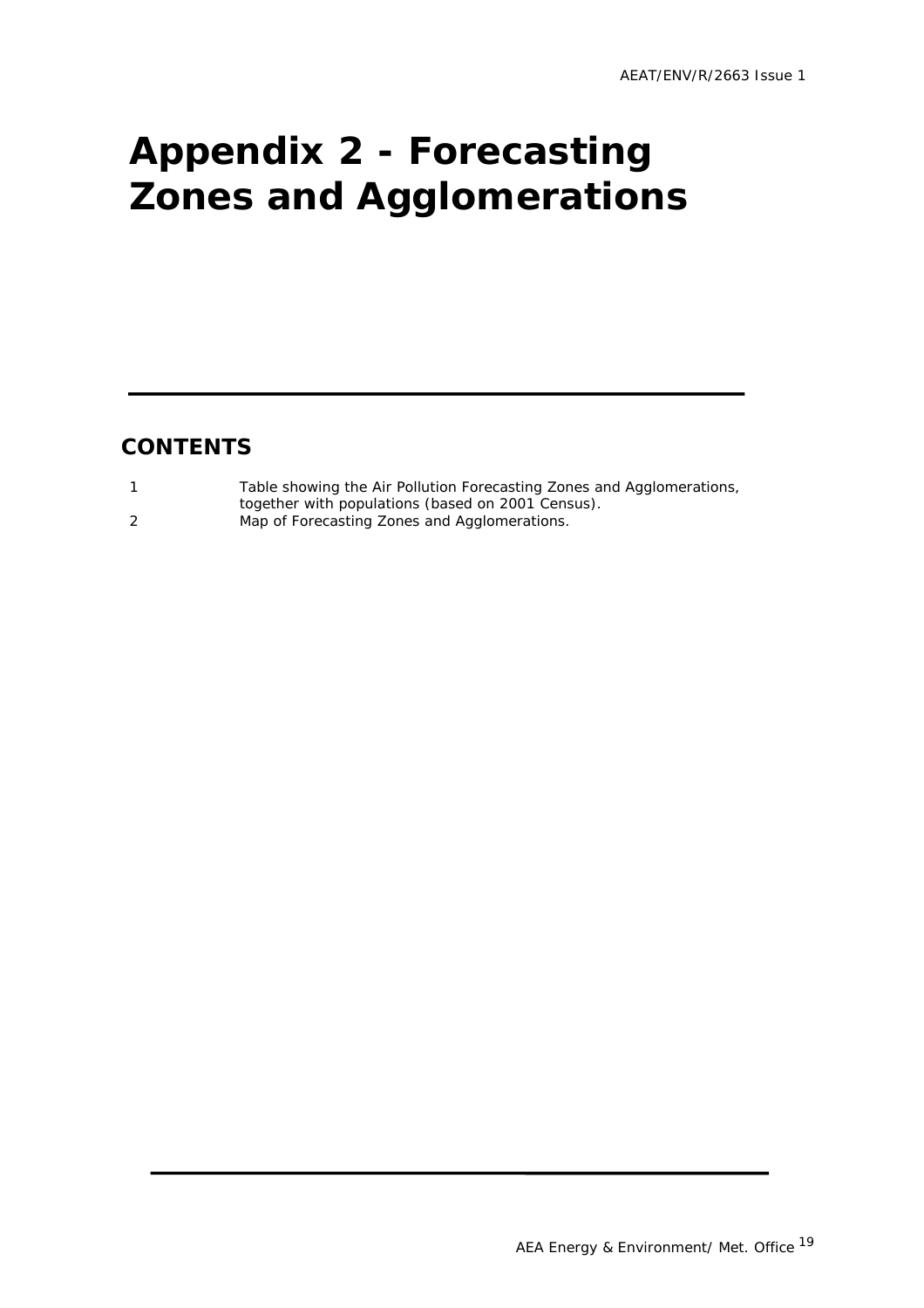# <span id="page-21-0"></span>**Appendix 2 - Forecasting Zones and Agglomerations**

#### **CONTENTS**

| Table showing the Air Pollution Forecasting Zones and Agglomerations, |
|-----------------------------------------------------------------------|
| together with populations (based on 2001 Census).                     |
| Map of Forecasting Zones and Agglomerations.                          |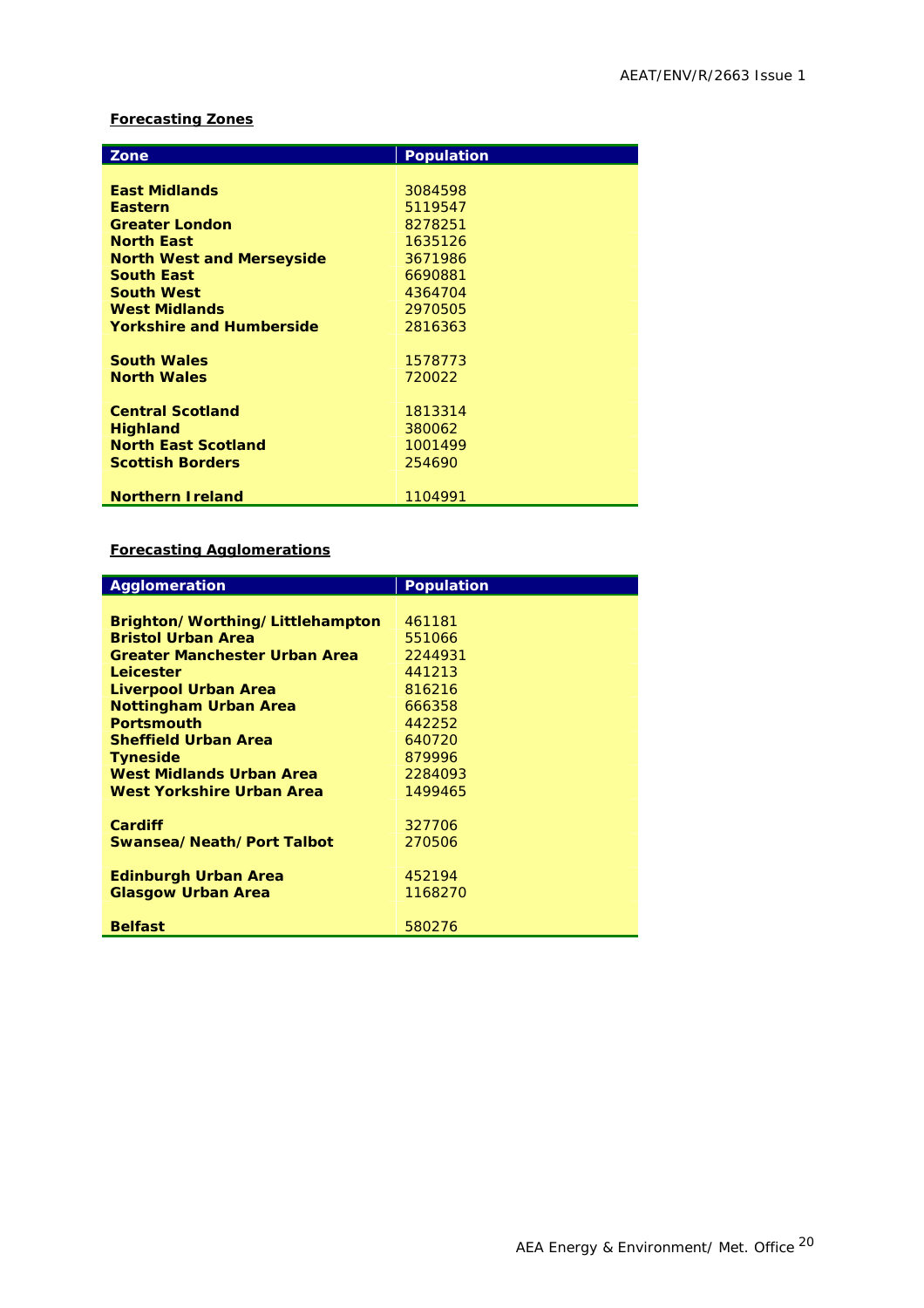#### **Forecasting Zones**

| Zone                             | <b>Population</b> |
|----------------------------------|-------------------|
|                                  |                   |
| <b>East Midlands</b>             | 3084598           |
| <b>Eastern</b>                   | 5119547           |
| <b>Greater London</b>            | 8278251           |
| <b>North East</b>                | 1635126           |
| <b>North West and Merseyside</b> | 3671986           |
| <b>South East</b>                | 6690881           |
| <b>South West</b>                | 4364704           |
| <b>West Midlands</b>             | 2970505           |
| <b>Yorkshire and Humberside</b>  | 2816363           |
|                                  |                   |
| <b>South Wales</b>               | 1578773           |
| <b>North Wales</b>               | 720022            |
|                                  |                   |
| <b>Central Scotland</b>          | 1813314           |
| <b>Highland</b>                  | 380062            |
| <b>North East Scotland</b>       | 1001499           |
| <b>Scottish Borders</b>          | 254690            |
|                                  |                   |
| <b>Northern Ireland</b>          | 1104991           |

#### **Forecasting Agglomerations**

| Agglomeration                        | <b>Population</b> |
|--------------------------------------|-------------------|
|                                      |                   |
| Brighton/Worthing/Littlehampton      | 461181            |
| <b>Bristol Urban Area</b>            | 551066            |
| <b>Greater Manchester Urban Area</b> | 2244931           |
| Leicester                            | 441213            |
| Liverpool Urban Area                 | 816216            |
| <b>Nottingham Urban Area</b>         | 666358            |
| <b>Portsmouth</b>                    | 442252            |
| <b>Sheffield Urban Area</b>          | 640720            |
| <b>Tyneside</b>                      | 879996            |
| West Midlands Urban Area             | 2284093           |
| West Yorkshire Urban Area            | 1499465           |
|                                      |                   |
| <b>Cardiff</b>                       | 327706            |
| Swansea/Neath/Port Talbot            | 270506            |
|                                      |                   |
| <b>Edinburgh Urban Area</b>          | 452194            |
| <b>Glasgow Urban Area</b>            | 1168270           |
|                                      |                   |
| <b>Belfast</b>                       | 580276            |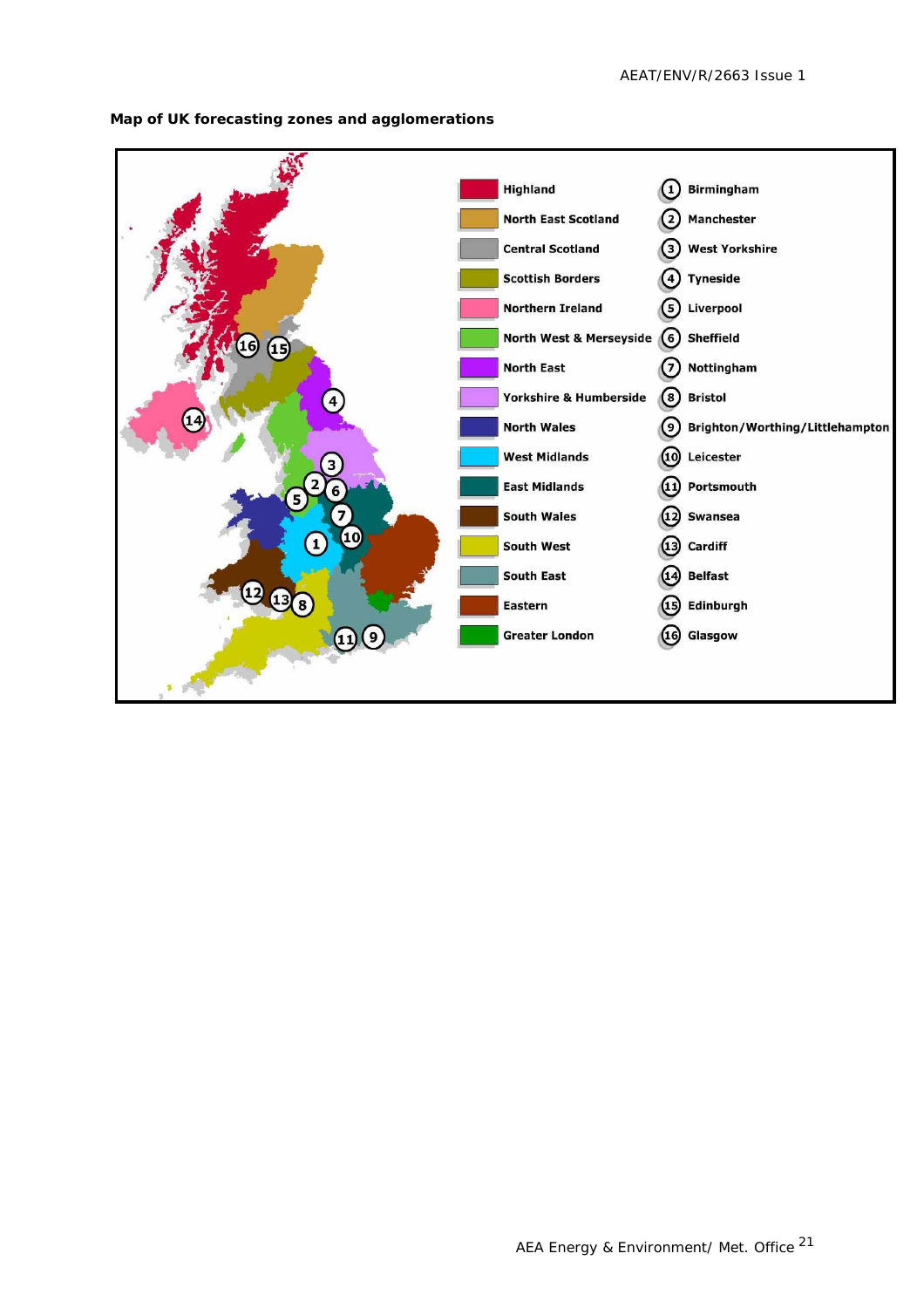

**Map of UK forecasting zones and agglomerations**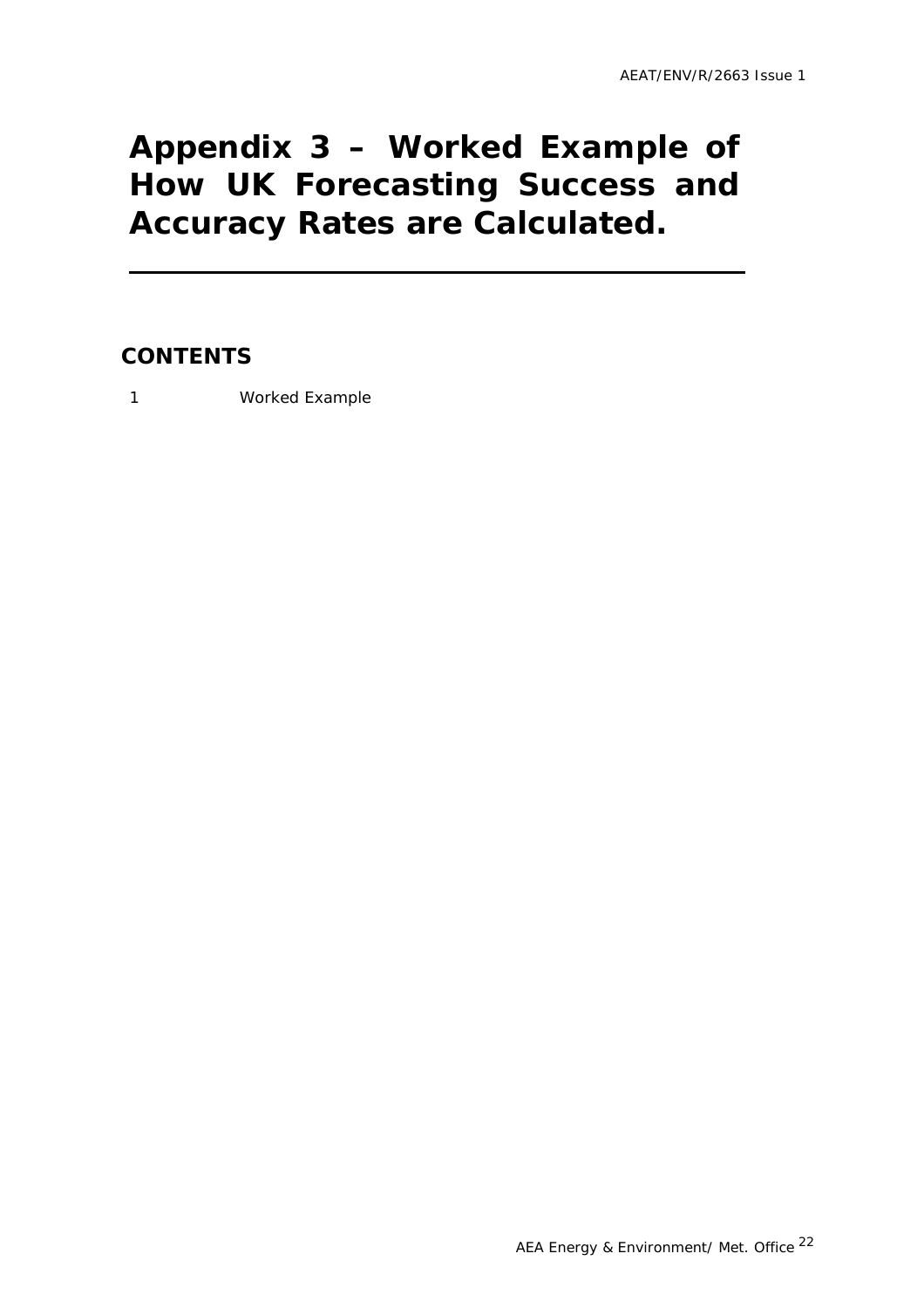## <span id="page-24-0"></span>**Appendix 3 – Worked Example of How UK Forecasting Success and Accuracy Rates are Calculated.**

#### **CONTENTS**

1 Worked Example